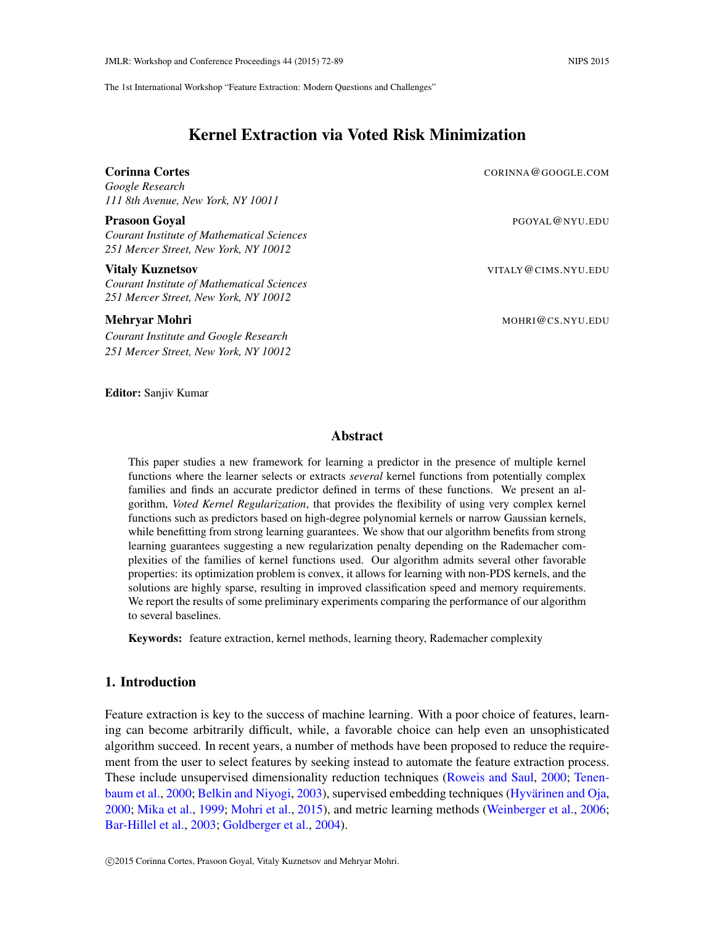The 1st International Workshop "Feature Extraction: Modern Questions and Challenges"

# Kernel Extraction via Voted Risk Minimization

### **Corinna Cortes Corres Corinna Cortes Corresponding Cortes Corresponding Cortes Corresponding Cortes Corresponding Corresponding Corresponding Corresponding Corresponding Corresponding Corresponding Corresponding Correspon**

*Google Research 111 8th Avenue, New York, NY 10011*

#### Prasoon Goyal **Phasis Accept Accept Accept Accept Accept** Accept Accept Accept Accept Accept Accept Accept Accept

*Courant Institute of Mathematical Sciences 251 Mercer Street, New York, NY 10012*

## Vitaly Kuznetsov VITALY@CIMS.NYU.EDU

*Courant Institute of Mathematical Sciences 251 Mercer Street, New York, NY 10012*

#### **Mehryar Mohri** Mohri Mohri Mohri Mohri Mohri Mohri Mohri Mohri Mohri Mohri Mohri Mohri Mohri Mohri Mohri Mohri M

*Courant Institute and Google Research 251 Mercer Street, New York, NY 10012*

#### Editor: Sanjiv Kumar

## Abstract

This paper studies a new framework for learning a predictor in the presence of multiple kernel functions where the learner selects or extracts *several* kernel functions from potentially complex families and finds an accurate predictor defined in terms of these functions. We present an algorithm, *Voted Kernel Regularization*, that provides the flexibility of using very complex kernel functions such as predictors based on high-degree polynomial kernels or narrow Gaussian kernels, while benefitting from strong learning guarantees. We show that our algorithm benefits from strong learning guarantees suggesting a new regularization penalty depending on the Rademacher complexities of the families of kernel functions used. Our algorithm admits several other favorable properties: its optimization problem is convex, it allows for learning with non-PDS kernels, and the solutions are highly sparse, resulting in improved classification speed and memory requirements. We report the results of some preliminary experiments comparing the performance of our algorithm to several baselines.

Keywords: feature extraction, kernel methods, learning theory, Rademacher complexity

## 1. Introduction

Feature extraction is key to the success of machine learning. With a poor choice of features, learning can become arbitrarily difficult, while, a favorable choice can help even an unsophisticated algorithm succeed. In recent years, a number of methods have been proposed to reduce the requirement from the user to select features by seeking instead to automate the feature extraction process. These include unsupervised dimensionality reduction techniques [\(Roweis and Saul,](#page-11-0) [2000;](#page-11-0) [Tenen](#page-11-1)[baum et al.,](#page-11-1) [2000;](#page-11-1) [Belkin and Niyogi,](#page-10-0) [2003\)](#page-10-0), supervised embedding techniques (Hyvärinen and Oja, [2000;](#page-11-2) [Mika et al.,](#page-11-3) [1999;](#page-11-3) [Mohri et al.,](#page-11-4) [2015\)](#page-11-4), and metric learning methods [\(Weinberger et al.,](#page-11-5) [2006;](#page-11-5) [Bar-Hillel et al.,](#page-10-1) [2003;](#page-10-1) [Goldberger et al.,](#page-11-6) [2004\)](#page-11-6).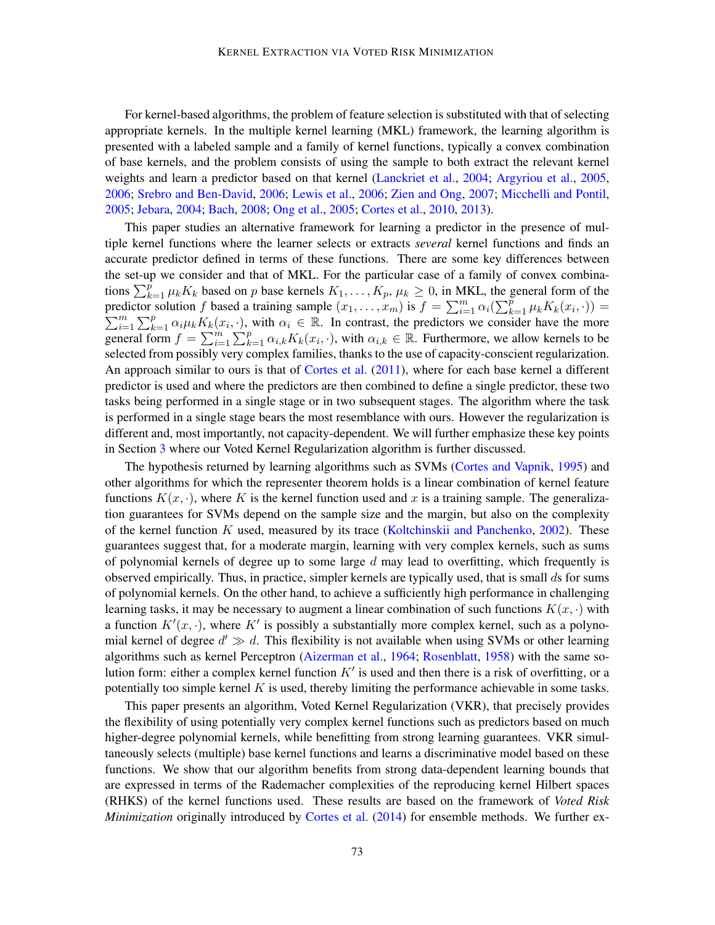For kernel-based algorithms, the problem of feature selection is substituted with that of selecting appropriate kernels. In the multiple kernel learning (MKL) framework, the learning algorithm is presented with a labeled sample and a family of kernel functions, typically a convex combination of base kernels, and the problem consists of using the sample to both extract the relevant kernel weights and learn a predictor based on that kernel [\(Lanckriet et al.,](#page-11-7) [2004;](#page-11-7) [Argyriou et al.,](#page-10-2) [2005,](#page-10-2) [2006;](#page-10-3) [Srebro and Ben-David,](#page-11-8) [2006;](#page-11-8) [Lewis et al.,](#page-11-9) [2006;](#page-11-9) [Zien and Ong,](#page-12-0) [2007;](#page-12-0) [Micchelli and Pontil,](#page-11-10) [2005;](#page-11-10) [Jebara,](#page-11-11) [2004;](#page-11-11) [Bach,](#page-10-4) [2008;](#page-10-4) [Ong et al.,](#page-11-12) [2005;](#page-11-12) [Cortes et al.,](#page-10-5) [2010,](#page-10-5) [2013\)](#page-10-6).

This paper studies an alternative framework for learning a predictor in the presence of multiple kernel functions where the learner selects or extracts *several* kernel functions and finds an accurate predictor defined in terms of these functions. There are some key differences between the set-up we consider and that of MKL. For the particular case of a family of convex combinations  $\sum_{k=1}^{p} \mu_k K_k$  based on p base kernels  $K_1, \ldots, K_p, \mu_k \ge 0$ , in MKL, the general form of the predictor solution f based a training sample  $(x_1, \ldots, x_m)$  is  $f = \sum_{i=1}^m \alpha_i (\sum_{k=1}^p \mu_k K_k(x_i))$ predictor solution f based a training sample  $(x_1, \ldots, x_m)$  is  $f = \sum_{i=1}^m \alpha_i (\sum_{k=1}^p \mu_k K_k(x_i, \cdot)) = \sum_{i=1}^m \sum_{k=1}^p \alpha_i \mu_k K_k(x_i, \cdot)$ , with  $\alpha_i \in \mathbb{R}$ . In contrast, the predictors we consider have the more  $\sum_{i=1}^{m} \sum_{k=1}^{p} \alpha_i \mu_k K_k(x_i, \cdot)$ , with  $\alpha_i \in \mathbb{R}$ . In contrast, the predictors we consider have the more general form  $f = \sum_{i=1}^{m} \sum_{k=1}^{p} \alpha_{i,k} K_k(x_i, \cdot)$ , with  $\alpha_{i,k} \in \mathbb{R}$ . Furthermore, we allow kernels to be selected from possibly very complex families, thanks to the use of capacity-conscient regularization. An approach similar to ours is that of [Cortes et al.](#page-10-7) [\(2011\)](#page-10-7), where for each base kernel a different predictor is used and where the predictors are then combined to define a single predictor, these two tasks being performed in a single stage or in two subsequent stages. The algorithm where the task is performed in a single stage bears the most resemblance with ours. However the regularization is different and, most importantly, not capacity-dependent. We will further emphasize these key points in Section [3](#page-3-0) where our Voted Kernel Regularization algorithm is further discussed.

The hypothesis returned by learning algorithms such as SVMs [\(Cortes and Vapnik,](#page-10-8) [1995\)](#page-10-8) and other algorithms for which the representer theorem holds is a linear combination of kernel feature functions  $K(x, \cdot)$ , where K is the kernel function used and x is a training sample. The generalization guarantees for SVMs depend on the sample size and the margin, but also on the complexity of the kernel function K used, measured by its trace [\(Koltchinskii and Panchenko,](#page-11-13) [2002\)](#page-11-13). These guarantees suggest that, for a moderate margin, learning with very complex kernels, such as sums of polynomial kernels of degree up to some large  $d$  may lead to overfitting, which frequently is observed empirically. Thus, in practice, simpler kernels are typically used, that is small ds for sums of polynomial kernels. On the other hand, to achieve a sufficiently high performance in challenging learning tasks, it may be necessary to augment a linear combination of such functions  $K(x, \cdot)$  with a function  $K'(x, \cdot)$ , where K' is possibly a substantially more complex kernel, such as a polynomial kernel of degree  $d' \gg d$ . This flexibility is not available when using SVMs or other learning algorithms such as kernel Perceptron [\(Aizerman et al.,](#page-10-9) [1964;](#page-10-9) [Rosenblatt,](#page-11-14) [1958\)](#page-11-14) with the same solution form: either a complex kernel function  $K'$  is used and then there is a risk of overfitting, or a potentially too simple kernel  $K$  is used, thereby limiting the performance achievable in some tasks.

This paper presents an algorithm, Voted Kernel Regularization (VKR), that precisely provides the flexibility of using potentially very complex kernel functions such as predictors based on much higher-degree polynomial kernels, while benefitting from strong learning guarantees. VKR simultaneously selects (multiple) base kernel functions and learns a discriminative model based on these functions. We show that our algorithm benefits from strong data-dependent learning bounds that are expressed in terms of the Rademacher complexities of the reproducing kernel Hilbert spaces (RHKS) of the kernel functions used. These results are based on the framework of *Voted Risk Minimization* originally introduced by [Cortes et al.](#page-10-10) [\(2014\)](#page-10-10) for ensemble methods. We further ex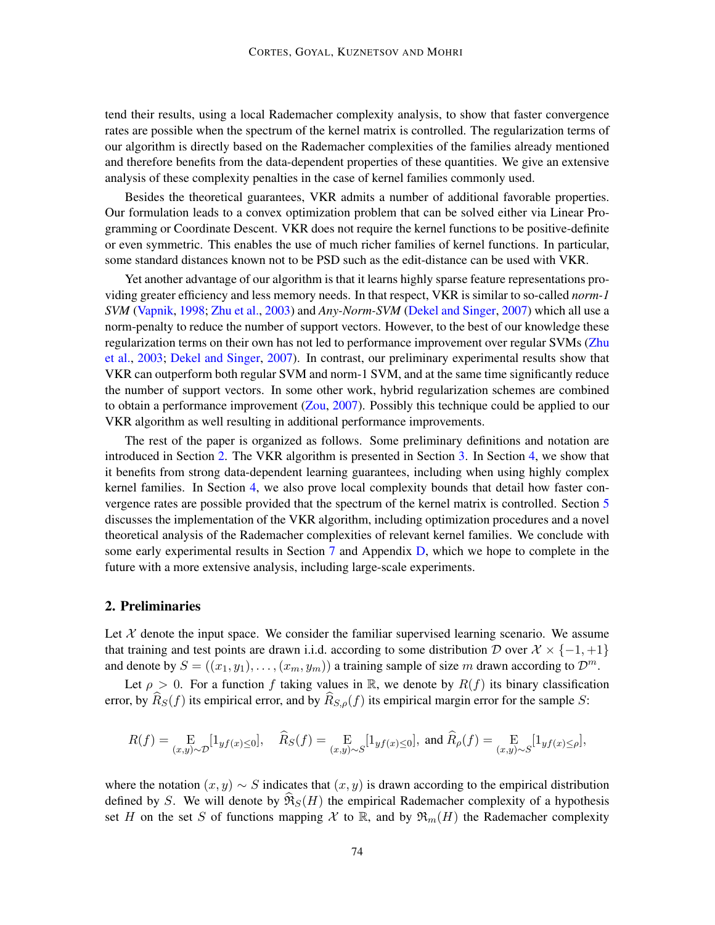tend their results, using a local Rademacher complexity analysis, to show that faster convergence rates are possible when the spectrum of the kernel matrix is controlled. The regularization terms of our algorithm is directly based on the Rademacher complexities of the families already mentioned and therefore benefits from the data-dependent properties of these quantities. We give an extensive analysis of these complexity penalties in the case of kernel families commonly used.

Besides the theoretical guarantees, VKR admits a number of additional favorable properties. Our formulation leads to a convex optimization problem that can be solved either via Linear Programming or Coordinate Descent. VKR does not require the kernel functions to be positive-definite or even symmetric. This enables the use of much richer families of kernel functions. In particular, some standard distances known not to be PSD such as the edit-distance can be used with VKR.

Yet another advantage of our algorithm is that it learns highly sparse feature representations providing greater efficiency and less memory needs. In that respect, VKR is similar to so-called *norm-1 SVM* [\(Vapnik,](#page-11-15) [1998;](#page-11-15) [Zhu et al.,](#page-12-1) [2003\)](#page-12-1) and *Any-Norm-SVM* [\(Dekel and Singer,](#page-10-11) [2007\)](#page-10-11) which all use a norm-penalty to reduce the number of support vectors. However, to the best of our knowledge these regularization terms on their own has not led to performance improvement over regular SVMs [\(Zhu](#page-12-1) [et al.,](#page-12-1) [2003;](#page-12-1) [Dekel and Singer,](#page-10-11) [2007\)](#page-10-11). In contrast, our preliminary experimental results show that VKR can outperform both regular SVM and norm-1 SVM, and at the same time significantly reduce the number of support vectors. In some other work, hybrid regularization schemes are combined to obtain a performance improvement [\(Zou,](#page-12-2) [2007\)](#page-12-2). Possibly this technique could be applied to our VKR algorithm as well resulting in additional performance improvements.

The rest of the paper is organized as follows. Some preliminary definitions and notation are introduced in Section [2.](#page-2-0) The VKR algorithm is presented in Section [3.](#page-3-0) In Section [4,](#page-4-0) we show that it benefits from strong data-dependent learning guarantees, including when using highly complex kernel families. In Section [4,](#page-4-0) we also prove local complexity bounds that detail how faster convergence rates are possible provided that the spectrum of the kernel matrix is controlled. Section [5](#page-5-0) discusses the implementation of the VKR algorithm, including optimization procedures and a novel theoretical analysis of the Rademacher complexities of relevant kernel families. We conclude with some early experimental results in Section [7](#page-8-0) and Appendix [D,](#page-16-0) which we hope to complete in the future with a more extensive analysis, including large-scale experiments.

## <span id="page-2-0"></span>2. Preliminaries

Let  $X$  denote the input space. We consider the familiar supervised learning scenario. We assume that training and test points are drawn i.i.d. according to some distribution D over  $\mathcal{X} \times \{-1, +1\}$ and denote by  $S = ((x_1, y_1), \ldots, (x_m, y_m))$  a training sample of size m drawn according to  $\mathcal{D}^m$ .

Let  $\rho > 0$ . For a function f taking values in R, we denote by  $R(f)$  its binary classification error, by  $\widehat{R}_S(f)$  its empirical error, and by  $\widehat{R}_{S,\rho}(f)$  its empirical margin error for the sample S:

$$
R(f) = \underset{(x,y)\sim \mathcal{D}}{\mathrm{E}}[1_{y f(x) \le 0}], \quad \widehat{R}_S(f) = \underset{(x,y)\sim S}{\mathrm{E}}[1_{y f(x) \le 0}], \text{ and } \widehat{R}_\rho(f) = \underset{(x,y)\sim S}{\mathrm{E}}[1_{y f(x) \le \rho}],
$$

where the notation  $(x, y) \sim S$  indicates that  $(x, y)$  is drawn according to the empirical distribution defined by S. We will denote by  $\Re s(H)$  the empirical Rademacher complexity of a hypothesis set H on the set S of functions mapping X to R, and by  $\mathfrak{R}_m(H)$  the Rademacher complexity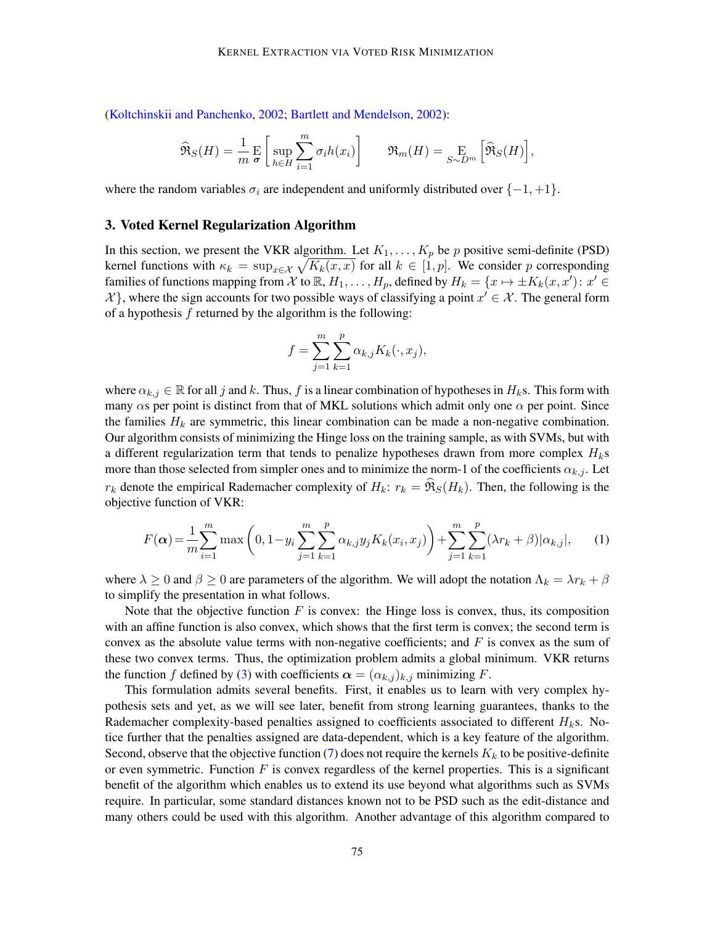[\(Koltchinskii and Panchenko,](#page-11-13) [2002;](#page-11-13) [Bartlett and Mendelson,](#page-10-12) [2002\)](#page-10-12):

$$
\widehat{\mathfrak{R}}_S(H) = \frac{1}{m} \mathop{\mathbf{E}}_{\sigma} \left[ \sup_{h \in H} \sum_{i=1}^m \sigma_i h(x_i) \right] \qquad \mathfrak{R}_m(H) = \mathop{\mathbf{E}}_{S \sim D^m} \left[ \widehat{\mathfrak{R}}_S(H) \right],
$$

where the random variables  $\sigma_i$  are independent and uniformly distributed over  $\{-1, +1\}$ .

### <span id="page-3-0"></span>3. Voted Kernel Regularization Algorithm

In this section, we present the VKR algorithm. Let  $K_1, \ldots, K_p$  be p positive semi-definite (PSD) kernel functions with  $\kappa_k = \sup_{x \in \mathcal{X}} \sqrt{K_k(x, x)}$  for all  $k \in [1, p]$ . We consider p corresponding families of functions mapping from X to  $\mathbb{R}$ ,  $H_1, \ldots, H_p$ , defined by  $H_k = \{x \mapsto \pm K_k(x, x') : x' \in$  $\mathcal{X}$ }, where the sign accounts for two possible ways of classifying a point  $x' \in \mathcal{X}$ . The general form of a hypothesis  $f$  returned by the algorithm is the following:

<span id="page-3-1"></span>
$$
f = \sum_{j=1}^{m} \sum_{k=1}^{p} \alpha_{k,j} K_k(\cdot, x_j),
$$

where  $\alpha_{k,j} \in \mathbb{R}$  for all j and k. Thus, f is a linear combination of hypotheses in  $H_k$ s. This form with many  $\alpha$ s per point is distinct from that of MKL solutions which admit only one  $\alpha$  per point. Since the families  $H_k$  are symmetric, this linear combination can be made a non-negative combination. Our algorithm consists of minimizing the Hinge loss on the training sample, as with SVMs, but with a different regularization term that tends to penalize hypotheses drawn from more complex  $H_k$ s more than those selected from simpler ones and to minimize the norm-1 of the coefficients  $\alpha_{k,j}$ . Let  $r_k$  denote the empirical Rademacher complexity of  $H_k$ :  $r_k = \mathfrak{R}_S(H_k)$ . Then, the following is the objective function of VKR:

$$
F(\alpha) = \frac{1}{m} \sum_{i=1}^{m} \max\left(0, 1 - y_i \sum_{j=1}^{m} \sum_{k=1}^{p} \alpha_{k,j} y_j K_k(x_i, x_j)\right) + \sum_{j=1}^{m} \sum_{k=1}^{p} (\lambda r_k + \beta) |\alpha_{k,j}|,
$$
 (1)

where  $\lambda \ge 0$  and  $\beta \ge 0$  are parameters of the algorithm. We will adopt the notation  $\Lambda_k = \lambda r_k + \beta$ to simplify the presentation in what follows.

Note that the objective function  $F$  is convex: the Hinge loss is convex, thus, its composition with an affine function is also convex, which shows that the first term is convex; the second term is convex as the absolute value terms with non-negative coefficients; and  $F$  is convex as the sum of these two convex terms. Thus, the optimization problem admits a global minimum. VKR returns the function f defined by [\(3\)](#page-3-0) with coefficients  $\alpha = (\alpha_{k,j})_{k,j}$  minimizing F.

This formulation admits several benefits. First, it enables us to learn with very complex hypothesis sets and yet, as we will see later, benefit from strong learning guarantees, thanks to the Rademacher complexity-based penalties assigned to coefficients associated to different  $H_k$ s. Notice further that the penalties assigned are data-dependent, which is a key feature of the algorithm. Second, observe that the objective function [\(7\)](#page-15-0) does not require the kernels  $K_k$  to be positive-definite or even symmetric. Function  $F$  is convex regardless of the kernel properties. This is a significant benefit of the algorithm which enables us to extend its use beyond what algorithms such as SVMs require. In particular, some standard distances known not to be PSD such as the edit-distance and many others could be used with this algorithm. Another advantage of this algorithm compared to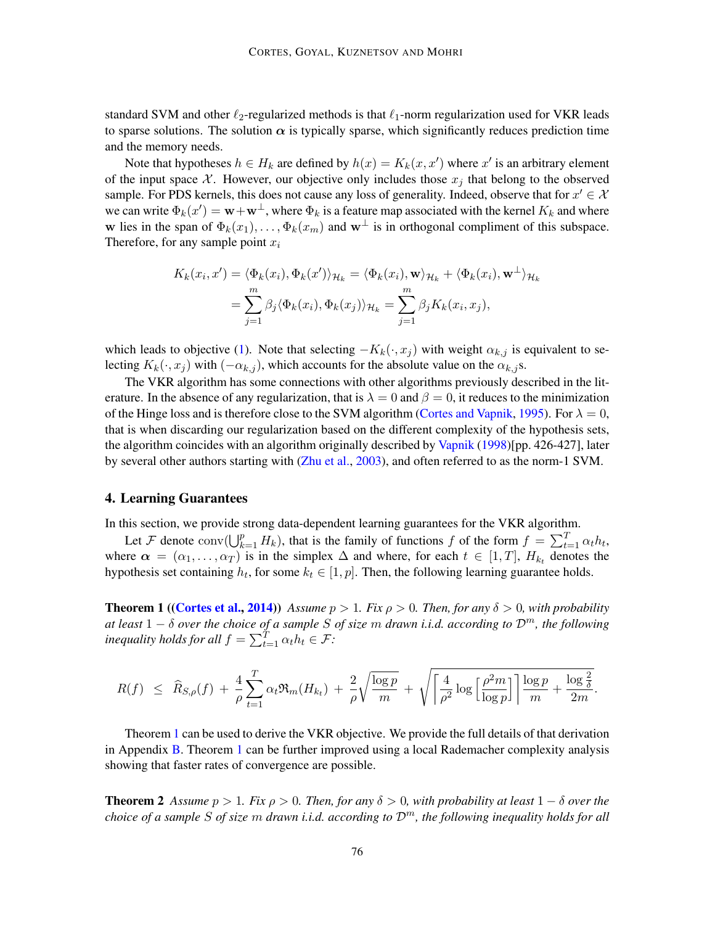standard SVM and other  $\ell_2$ -regularized methods is that  $\ell_1$ -norm regularization used for VKR leads to sparse solutions. The solution  $\alpha$  is typically sparse, which significantly reduces prediction time and the memory needs.

Note that hypotheses  $h \in H_k$  are defined by  $h(x) = K_k(x, x')$  where  $x'$  is an arbitrary element of the input space X. However, our objective only includes those  $x_i$  that belong to the observed sample. For PDS kernels, this does not cause any loss of generality. Indeed, observe that for  $x' \in \mathcal{X}$ we can write  $\Phi_k(x') = \mathbf{w} + \mathbf{w}^\perp$ , where  $\Phi_k$  is a feature map associated with the kernel  $K_k$  and where w lies in the span of  $\Phi_k(x_1), \ldots, \Phi_k(x_m)$  and  $w^{\perp}$  is in orthogonal compliment of this subspace. Therefore, for any sample point  $x_i$ 

$$
K_k(x_i, x') = \langle \Phi_k(x_i), \Phi_k(x') \rangle_{\mathcal{H}_k} = \langle \Phi_k(x_i), \mathbf{w} \rangle_{\mathcal{H}_k} + \langle \Phi_k(x_i), \mathbf{w}^{\perp} \rangle_{\mathcal{H}_k}
$$
  
= 
$$
\sum_{j=1}^m \beta_j \langle \Phi_k(x_i), \Phi_k(x_j) \rangle_{\mathcal{H}_k} = \sum_{j=1}^m \beta_j K_k(x_i, x_j),
$$

which leads to objective [\(1\)](#page-3-1). Note that selecting  $-K_k(\cdot, x_j)$  with weight  $\alpha_{k,j}$  is equivalent to selecting  $K_k(\cdot, x_j)$  with  $(-\alpha_{k,j})$ , which accounts for the absolute value on the  $\alpha_{k,j}$ s.

The VKR algorithm has some connections with other algorithms previously described in the literature. In the absence of any regularization, that is  $\lambda = 0$  and  $\beta = 0$ , it reduces to the minimization of the Hinge loss and is therefore close to the SVM algorithm [\(Cortes and Vapnik,](#page-10-8) [1995\)](#page-10-8). For  $\lambda = 0$ , that is when discarding our regularization based on the different complexity of the hypothesis sets, the algorithm coincides with an algorithm originally described by [Vapnik](#page-11-15) [\(1998\)](#page-11-15)[pp. 426-427], later by several other authors starting with [\(Zhu et al.,](#page-12-1) [2003\)](#page-12-1), and often referred to as the norm-1 SVM.

## <span id="page-4-0"></span>4. Learning Guarantees

In this section, we provide strong data-dependent learning guarantees for the VKR algorithm.

Let F denote  $\text{conv}(\bigcup_{k=1}^p H_k)$ , that is the family of functions f of the form  $f = \sum_{t=1}^T \alpha_t h_t$ , where  $\alpha = (\alpha_1, \dots, \alpha_T)$  is in the simplex  $\Delta$  and where, for each  $t \in [1, T]$ ,  $H_{k_t}$  denotes the hypothesis set containing  $h_t$ , for some  $k_t \in [1, p]$ . Then, the following learning guarantee holds.

<span id="page-4-1"></span>**Theorem 1** ([\(Cortes et al.,](#page-10-10) [2014\)](#page-10-10)) *Assume*  $p > 1$ *. Fix*  $\rho > 0$ *. Then, for any*  $\delta > 0$ *, with probability at least* 1 − δ *over the choice of a sample* S *of size* m *drawn i.i.d. according to* Dm*, the following inequality holds for all*  $f = \sum_{t=1}^{T} \alpha_t h_t \in \mathcal{F}$ *:* 

$$
R(f) \leq \widehat{R}_{S,\rho}(f) + \frac{4}{\rho} \sum_{t=1}^T \alpha_t \Re_m(H_{k_t}) + \frac{2}{\rho} \sqrt{\frac{\log p}{m}} + \sqrt{\left[\frac{4}{\rho^2} \log \left[\frac{\rho^2 m}{\log p}\right]\right] \frac{\log p}{m} + \frac{\log \frac{2}{\delta}}{2m}}.
$$

Theorem [1](#page-4-1) can be used to derive the VKR objective. We provide the full details of that derivation in Appendix [B.](#page-15-1) Theorem [1](#page-4-1) can be further improved using a local Rademacher complexity analysis showing that faster rates of convergence are possible.

<span id="page-4-2"></span>**Theorem 2** *Assume*  $p > 1$ *. Fix*  $\rho > 0$ *. Then, for any*  $\delta > 0$ *, with probability at least*  $1 - \delta$  *over the choice of a sample* S *of size* m *drawn i.i.d. according to* Dm*, the following inequality holds for all*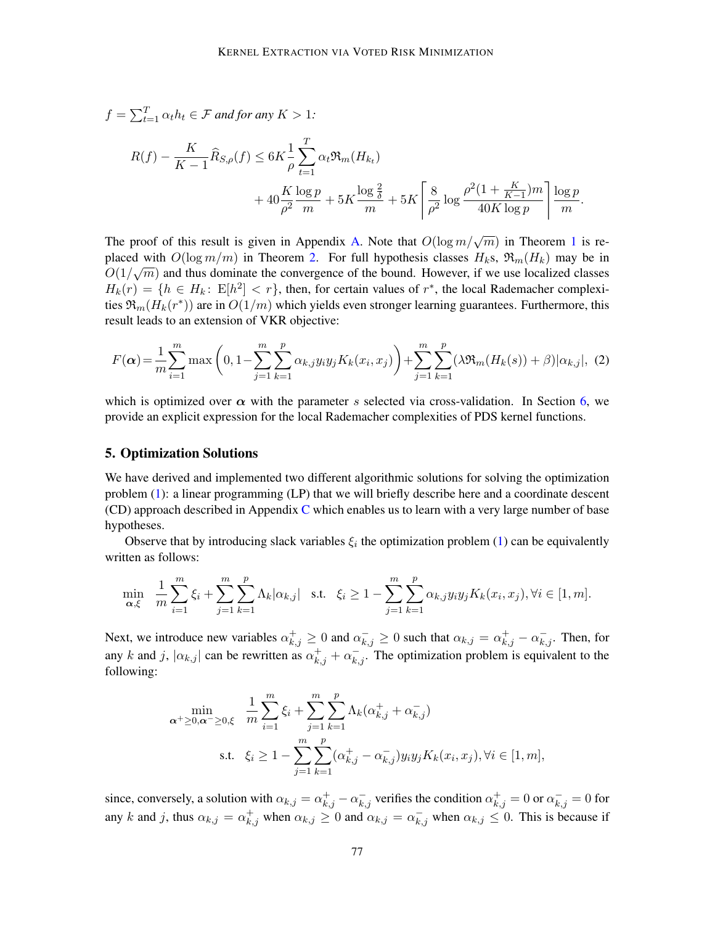$$
f = \sum_{t=1}^{T} \alpha_t h_t \in \mathcal{F} \text{ and for any } K > 1:
$$
  

$$
R(f) - \frac{K}{K-1} \widehat{R}_{S,\rho}(f) \le 6K \frac{1}{\rho} \sum_{t=1}^{T} \alpha_t \Re_m(H_{k_t}) + 40 \frac{K \log p}{\rho^2} + 5K \frac{\log \frac{2}{\delta}}{m} + 5K \left[ \frac{8}{\rho^2} \log \frac{\rho^2 (1 + \frac{K}{K-1}) m}{40K \log p} \right] \frac{\log p}{m}.
$$

The proof of this result is given in Appendix [A.](#page-12-3) Note that  $O(\log m/\sqrt{m})$  in Theorem [1](#page-4-1) is replaced with  $O(\log m/m)$  in Theorem [2.](#page-4-2) For full hypothesis classes  $H_k$ s,  $\mathfrak{R}_m(H_k)$  may be in  $O(1/\sqrt{m})$  and thus dominate the convergence of the bound. However, if we use localized classes  $H_k(r) = \{h \in H_k: E[h^2] < r\}$ , then, for certain values of  $r^*$ , the local Rademacher complexities  $\mathfrak{R}_m(H_k(r^*))$  are in  $O(1/m)$  which yields even stronger learning guarantees. Furthermore, this result leads to an extension of VKR objective:

$$
F(\alpha) = \frac{1}{m} \sum_{i=1}^{m} \max\left(0, 1 - \sum_{j=1}^{m} \sum_{k=1}^{p} \alpha_{k,j} y_i y_j K_k(x_i, x_j)\right) + \sum_{j=1}^{m} \sum_{k=1}^{p} (\lambda \Re_m(H_k(s)) + \beta) |\alpha_{k,j}|, (2)
$$

which is optimized over  $\alpha$  with the parameter s selected via cross-validation. In Section [6,](#page-6-0) we provide an explicit expression for the local Rademacher complexities of PDS kernel functions.

### <span id="page-5-0"></span>5. Optimization Solutions

We have derived and implemented two different algorithmic solutions for solving the optimization problem [\(1\)](#page-3-1): a linear programming (LP) that we will briefly describe here and a coordinate descent  $(CD)$  $(CD)$  $(CD)$  approach described in Appendix C which enables us to learn with a very large number of base hypotheses.

Observe that by introducing slack variables  $\xi_i$  the optimization problem [\(1\)](#page-3-1) can be equivalently written as follows:

$$
\min_{\alpha,\xi} \quad \frac{1}{m} \sum_{i=1}^m \xi_i + \sum_{j=1}^m \sum_{k=1}^p \Lambda_k |\alpha_{k,j}| \quad \text{s.t.} \quad \xi_i \ge 1 - \sum_{j=1}^m \sum_{k=1}^p \alpha_{k,j} y_i y_j K_k(x_i, x_j), \forall i \in [1, m].
$$

Next, we introduce new variables  $\alpha_{k,j}^+ \ge 0$  and  $\alpha_{k,j}^- \ge 0$  such that  $\alpha_{k,j} = \alpha_{k,j}^+ - \alpha_{k,j}^-$ . Then, for any k and j,  $|\alpha_{k,j}|$  can be rewritten as  $\alpha_{k,j}^+ + \alpha_{k,j}^-$ . The optimization problem is equivalent to the following:

$$
\min_{\alpha^{+}\geq 0,\alpha^{-}\geq 0,\xi} \quad \frac{1}{m} \sum_{i=1}^{m} \xi_{i} + \sum_{j=1}^{m} \sum_{k=1}^{p} \Lambda_{k} (\alpha^{+}_{k,j} + \alpha^{-}_{k,j})
$$
\ns.t. 
$$
\xi_{i} \geq 1 - \sum_{j=1}^{m} \sum_{k=1}^{p} (\alpha^{+}_{k,j} - \alpha^{-}_{k,j}) y_{i} y_{j} K_{k}(x_{i}, x_{j}), \forall i \in [1, m],
$$

since, conversely, a solution with  $\alpha_{k,j} = \alpha_{k,j}^+ - \alpha_{k,j}^-$  verifies the condition  $\alpha_{k,j}^+ = 0$  or  $\alpha_{k,j}^- = 0$  for any k and j, thus  $\alpha_{k,j} = \alpha_{k,j}^+$  when  $\alpha_{k,j} \ge 0$  and  $\alpha_{k,j} = \alpha_{k,j}^-$  when  $\alpha_{k,j} \le 0$ . This is because if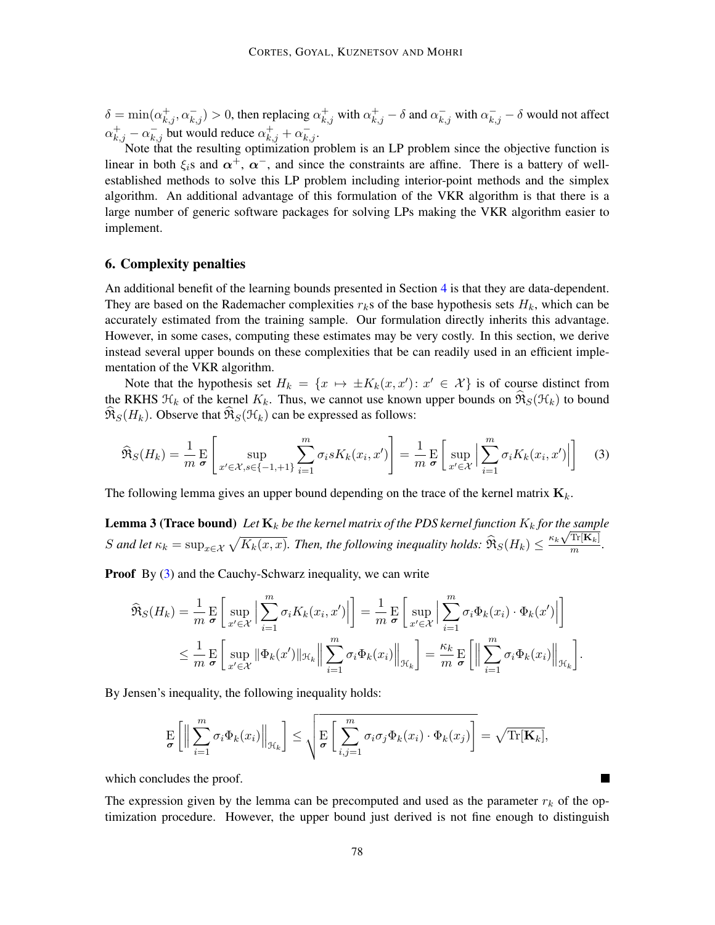$\delta = \min(\alpha_{k,j}^+, \alpha_{k,j}^-) > 0$ , then replacing  $\alpha_{k,j}^+$  with  $\alpha_{k,j}^+ - \delta$  and  $\alpha_{k,j}^-$  with  $\alpha_{k,j}^- - \delta$  would not affect  $\alpha_{k,j}^+ - \alpha_{k,j}^-$  but would reduce  $\alpha_{k,j}^+ + \alpha_{k,j}^-$ .

Note that the resulting optimization problem is an LP problem since the objective function is linear in both  $\xi_i$ s and  $\alpha^+$ ,  $\alpha^-$ , and since the constraints are affine. There is a battery of wellestablished methods to solve this LP problem including interior-point methods and the simplex algorithm. An additional advantage of this formulation of the VKR algorithm is that there is a large number of generic software packages for solving LPs making the VKR algorithm easier to implement.

## <span id="page-6-0"></span>6. Complexity penalties

An additional benefit of the learning bounds presented in Section [4](#page-4-0) is that they are data-dependent. They are based on the Rademacher complexities  $r<sub>k</sub>$ s of the base hypothesis sets  $H<sub>k</sub>$ , which can be accurately estimated from the training sample. Our formulation directly inherits this advantage. However, in some cases, computing these estimates may be very costly. In this section, we derive instead several upper bounds on these complexities that be can readily used in an efficient implementation of the VKR algorithm.

Note that the hypothesis set  $H_k = \{x \mapsto \pm K_k(x, x') : x' \in \mathcal{X}\}\$ is of course distinct from the RKHS  $\mathcal{H}_k$  of the kernel  $K_k$ . Thus, we cannot use known upper bounds on  $\mathfrak{R}_S(\mathcal{H}_k)$  to bound  $\mathfrak{R}_{S}(H_k)$ . Observe that  $\mathfrak{R}_{S}(\mathcal{H}_k)$  can be expressed as follows:

<span id="page-6-1"></span>
$$
\widehat{\mathfrak{R}}_S(H_k) = \frac{1}{m} \mathop{\mathbb{E}}_{\sigma} \left[ \sup_{x' \in \mathcal{X}, s \in \{-1, +1\}} \sum_{i=1}^m \sigma_i s K_k(x_i, x') \right] = \frac{1}{m} \mathop{\mathbb{E}}_{\sigma} \left[ \sup_{x' \in \mathcal{X}} \left| \sum_{i=1}^m \sigma_i K_k(x_i, x') \right| \right] \tag{3}
$$

<span id="page-6-2"></span>The following lemma gives an upper bound depending on the trace of the kernel matrix  $\mathbf{K}_k$ .

**Lemma 3 (Trace bound)** Let  $\mathbf{K}_k$  be the kernel matrix of the PDS kernel function  $K_k$  for the sample S and let  $\kappa_k = \sup_{x \in \mathcal{X}} \sqrt{K_k(x, x)}$ . Then, the following inequality holds:  $\widehat{\mathfrak{R}}_S(H_k) \leq \frac{\kappa_k \sqrt{\text{Tr}[\mathbf{K}_k]} }{m}$  $\frac{1}{m}$ .

**Proof** By [\(3\)](#page-6-1) and the Cauchy-Schwarz inequality, we can write

$$
\widehat{\mathfrak{R}}_{S}(H_{k}) = \frac{1}{m} \mathop{\mathbb{E}}_{\sigma} \left[ \sup_{x' \in \mathcal{X}} \Big| \sum_{i=1}^{m} \sigma_{i} K_{k}(x_{i}, x') \Big| \right] = \frac{1}{m} \mathop{\mathbb{E}}_{\sigma} \left[ \sup_{x' \in \mathcal{X}} \Big| \sum_{i=1}^{m} \sigma_{i} \Phi_{k}(x_{i}) \cdot \Phi_{k}(x') \Big| \right]
$$
  

$$
\leq \frac{1}{m} \mathop{\mathbb{E}}_{\sigma} \left[ \sup_{x' \in \mathcal{X}} \|\Phi_{k}(x')\|_{\mathcal{H}_{k}} \Big\| \sum_{i=1}^{m} \sigma_{i} \Phi_{k}(x_{i}) \Big\|_{\mathcal{H}_{k}} \right] = \frac{\kappa_{k}}{m} \mathop{\mathbb{E}}_{\sigma} \left[ \Big\| \sum_{i=1}^{m} \sigma_{i} \Phi_{k}(x_{i}) \Big\|_{\mathcal{H}_{k}} \right].
$$

By Jensen's inequality, the following inequality holds:

$$
\mathop{\mathbf{E}}_{\boldsymbol{\sigma}}\left[\Big\|\sum_{i=1}^m \sigma_i \Phi_k(x_i)\Big\|_{\mathcal{H}_k}\right] \leq \sqrt{\mathop{\mathbf{E}}_{\boldsymbol{\sigma}}\left[\sum_{i,j=1}^m \sigma_i \sigma_j \Phi_k(x_i) \cdot \Phi_k(x_j)\right]} = \sqrt{\text{Tr}[\mathbf{K}_k]},
$$

which concludes the proof.

The expression given by the lemma can be precomputed and used as the parameter  $r_k$  of the optimization procedure. However, the upper bound just derived is not fine enough to distinguish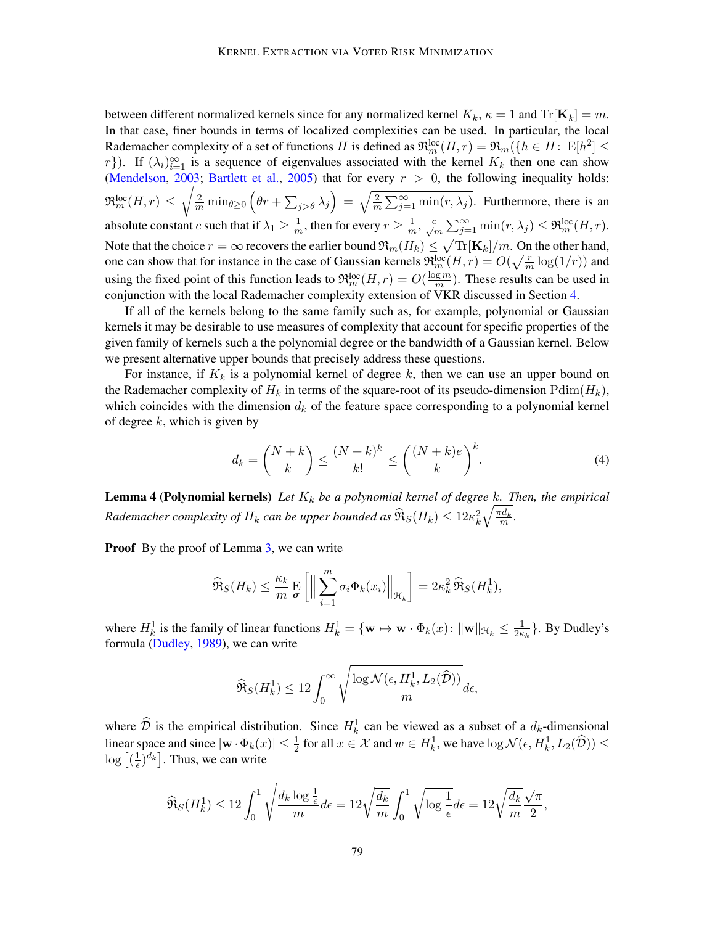between different normalized kernels since for any normalized kernel  $K_k$ ,  $\kappa = 1$  and  $\text{Tr}[\mathbf{K}_k] = m$ . In that case, finer bounds in terms of localized complexities can be used. In particular, the local Rademacher complexity of a set of functions H is defined as  $\mathfrak{R}_m^{\rm loc}(H,r) = \mathfrak{R}_m(\{h \in H: \, \text{E}[h^2] \leq$ r}). If  $(\lambda_i)_{i=1}^{\infty}$  is a sequence of eigenvalues associated with the kernel  $K_k$  then one can show [\(Mendelson,](#page-11-16) [2003;](#page-11-16) [Bartlett et al.,](#page-10-13) [2005\)](#page-10-13) that for every  $r > 0$ , the following inequality holds:  $\Re_m^{\text{loc}}(H,r) \leq \sqrt{\frac{2}{m} \min_{\theta \geq 0} (\theta r + \sum_{j > \theta} \lambda_j)} = \sqrt{\frac{2}{m} \sum_{j=1}^{\infty} \min(r, \lambda_j)}$ . Furthermore, there is an absolute constant c such that if  $\lambda_1 \geq \frac{1}{m}$  $\frac{1}{m}$ , then for every  $r \geq \frac{1}{m}$  $\frac{1}{m}, \frac{c}{\sqrt{m}}\sum_{j=1}^{\infty} \min(r, \lambda_j) \leq \Re_m^{\text{loc}}(H, r).$ Note that the choice  $r=\infty$  recovers the earlier bound  $\mathfrak{R}_m(H_k)\leq \sqrt{{\rm Tr}[\mathbf{K}_k]/m}.$  On the other hand, one can show that for instance in the case of Gaussian kernels  $\mathfrak{R}_m^{\text{loc}}(H,r) = O(\sqrt{\frac{r}{m} \log(1/r)})$  and using the fixed point of this function leads to  $\mathfrak{R}_m^{\text{loc}}(H,r) = O(\frac{\log m}{m})$  $\frac{gm}{m}$ ). These results can be used in conjunction with the local Rademacher complexity extension of VKR discussed in Section [4.](#page-4-0)

If all of the kernels belong to the same family such as, for example, polynomial or Gaussian kernels it may be desirable to use measures of complexity that account for specific properties of the given family of kernels such a the polynomial degree or the bandwidth of a Gaussian kernel. Below we present alternative upper bounds that precisely address these questions.

For instance, if  $K_k$  is a polynomial kernel of degree k, then we can use an upper bound on the Rademacher complexity of  $H_k$  in terms of the square-root of its pseudo-dimension  $Pdim(H_k)$ , which coincides with the dimension  $d_k$  of the feature space corresponding to a polynomial kernel of degree  $k$ , which is given by

<span id="page-7-0"></span>
$$
d_k = \binom{N+k}{k} \le \frac{(N+k)^k}{k!} \le \left(\frac{(N+k)e}{k}\right)^k.
$$
 (4)

<span id="page-7-1"></span>**Lemma 4 (Polynomial kernels)** Let  $K_k$  be a polynomial kernel of degree k. Then, the empirical  $R$ ademacher complexity of  $H_k$  can be upper bounded as  $\widehat{\mathfrak{R}}_S(H_k) \leq 12 \kappa_k^2 \sqrt{\frac{\pi d_k}{m}}.$ 

**Proof** By the proof of Lemma [3,](#page-6-2) we can write

$$
\widehat{\mathfrak{R}}_S(H_k) \leq \frac{\kappa_k}{m} \frac{\mathrm{E}}{\sigma} \left[ \Big\| \sum_{i=1}^m \sigma_i \Phi_k(x_i) \Big\|_{\mathcal{H}_k} \right] = 2\kappa_k^2 \widehat{\mathfrak{R}}_S(H_k^1),
$$

where  $H_k^1$  is the family of linear functions  $H_k^1 = \{w \mapsto w \cdot \Phi_k(x) : ||w||_{\mathcal{H}_k} \leq \frac{1}{2\kappa}\}$  $\frac{1}{2\kappa_k}$ . By Dudley's formula [\(Dudley,](#page-10-14) [1989\)](#page-10-14), we can write

$$
\widehat{\Re}_S(H^1_k) \leq 12 \int_0^\infty \sqrt{\frac{\log \mathcal{N}(\epsilon, H^1_k, L_2(\widehat{\mathcal{D}}))}{m}} d\epsilon,
$$

where  $\widehat{\mathcal{D}}$  is the empirical distribution. Since  $H_k^1$  can be viewed as a subset of a  $d_k$ -dimensional linear space and since  $|\mathbf{w} \cdot \Phi_k(x)| \leq \frac{1}{2}$  for all  $x \in \mathcal{X}$  and  $w \in H_k^1$ , we have  $\log \mathcal{N}(\epsilon, H_k^1, L_2(\hat{\mathcal{D}})) \leq$  $\log\left[\left(\frac{1}{\epsilon}\right)\right]$  $(\frac{1}{\epsilon})^{d_k}$ . Thus, we can write

$$
\widehat{\Re}_S(H_k^1) \le 12 \int_0^1 \sqrt{\frac{d_k \log \frac{1}{\epsilon}}{m}} d\epsilon = 12 \sqrt{\frac{d_k}{m}} \int_0^1 \sqrt{\log \frac{1}{\epsilon}} d\epsilon = 12 \sqrt{\frac{d_k}{m}} \frac{\sqrt{\pi}}{2},
$$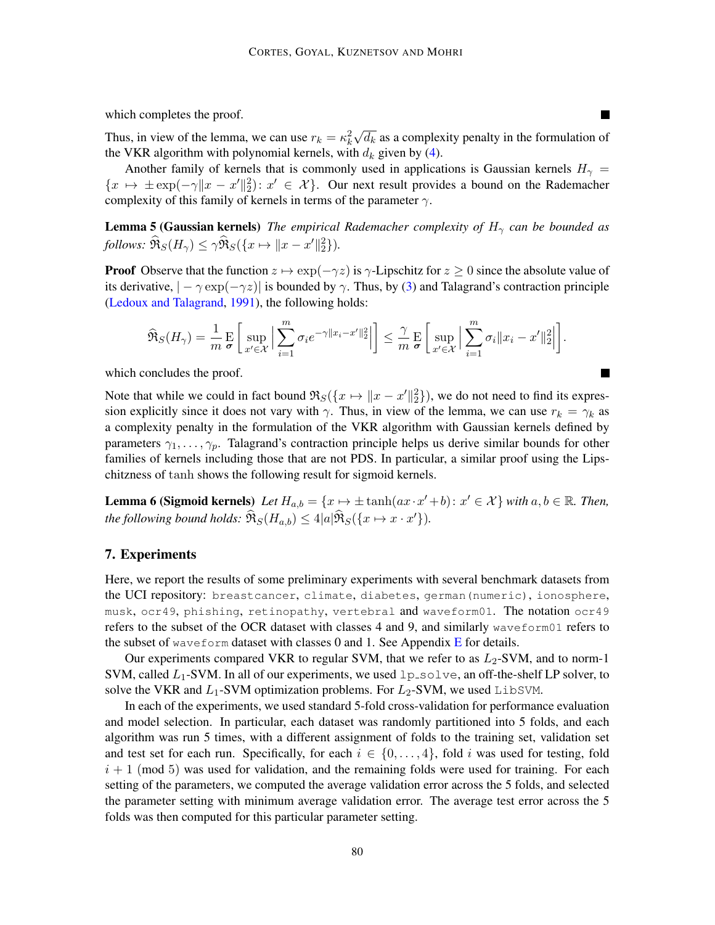which completes the proof.

Thus, in view of the lemma, we can use  $r_k = \kappa_k^2$ √  $\overline{d_k}$  as a complexity penalty in the formulation of the VKR algorithm with polynomial kernels, with  $d_k$  given by [\(4\)](#page-7-0).

**In the Second** 

Another family of kernels that is commonly used in applications is Gaussian kernels  $H_{\gamma}$  =  ${x \mapsto \pm \exp(-\gamma ||x - x'||_2^2): x' \in \mathcal{X}}$ . Our next result provides a bound on the Rademacher complexity of this family of kernels in terms of the parameter  $\gamma$ .

<span id="page-8-1"></span>**Lemma 5 (Gaussian kernels)** *The empirical Rademacher complexity of*  $H_{\gamma}$  *can be bounded as follows:*  $\widehat{\mathfrak{R}}_S(H_\gamma) \leq \gamma \widehat{\mathfrak{R}}_S(\lbrace x \mapsto ||x-x'||_2^2 \rbrace)$ *.* 

**Proof** Observe that the function  $z \mapsto \exp(-\gamma z)$  is  $\gamma$ -Lipschitz for  $z \ge 0$  since the absolute value of its derivative,  $|-\gamma \exp(-\gamma z)|$  is bounded by  $\gamma$ . Thus, by [\(3\)](#page-6-1) and Talagrand's contraction principle [\(Ledoux and Talagrand,](#page-11-17) [1991\)](#page-11-17), the following holds:

$$
\widehat{\mathfrak{R}}_S(H_\gamma)=\frac{1}{m}\mathop{\mathbf{E}}_{\sigma}\bigg[\sup_{x'\in\mathcal{X}}\Big|\sum_{i=1}^m\sigma_ie^{-\gamma\|x_i-x'\|_2^2}\Big|\bigg]\leq\frac{\gamma}{m}\mathop{\mathbf{E}}_{\sigma}\bigg[\sup_{x'\in\mathcal{X}}\Big|\sum_{i=1}^m\sigma_i\|x_i-x'\|_2^2\Big|\bigg].
$$

which concludes the proof.

Note that while we could in fact bound  $\Re_S(\{x \mapsto ||x - x'||_2^2\})$ , we do not need to find its expression explicitly since it does not vary with  $\gamma$ . Thus, in view of the lemma, we can use  $r_k = \gamma_k$  as a complexity penalty in the formulation of the VKR algorithm with Gaussian kernels defined by parameters  $\gamma_1, \ldots, \gamma_p$ . Talagrand's contraction principle helps us derive similar bounds for other families of kernels including those that are not PDS. In particular, a similar proof using the Lipschitzness of tanh shows the following result for sigmoid kernels.

**Lemma 6 (Sigmoid kernels)** Let  $H_{a,b} = \{x \mapsto \pm \tanh(ax \cdot x' + b) : x' \in \mathcal{X}\}\$  with  $a, b \in \mathbb{R}$ . Then, *the following bound holds:*  $\widehat{\mathfrak{R}}_S(H_{a,b}) \leq 4|a|\widehat{\mathfrak{R}}_S(\lbrace x \mapsto x \cdot x' \rbrace)$ *.* 

## <span id="page-8-0"></span>7. Experiments

Here, we report the results of some preliminary experiments with several benchmark datasets from the UCI repository: breastcancer, climate, diabetes, german(numeric), ionosphere, musk, ocr49, phishing, retinopathy, vertebral and waveform01. The notation ocr49 refers to the subset of the OCR dataset with classes 4 and 9, and similarly waveform01 refers to the subset of waveform dataset with classes  $0$  and  $1$ . See Appendix [E](#page-17-0) for details.

Our experiments compared VKR to regular SVM, that we refer to as  $L_2$ -SVM, and to norm-1 SVM, called  $L_1$ -SVM. In all of our experiments, we used  $l$  p\_solve, an off-the-shelf LP solver, to solve the VKR and  $L_1$ -SVM optimization problems. For  $L_2$ -SVM, we used LibSVM.

In each of the experiments, we used standard 5-fold cross-validation for performance evaluation and model selection. In particular, each dataset was randomly partitioned into 5 folds, and each algorithm was run 5 times, with a different assignment of folds to the training set, validation set and test set for each run. Specifically, for each  $i \in \{0, \ldots, 4\}$ , fold i was used for testing, fold  $i + 1$  (mod 5) was used for validation, and the remaining folds were used for training. For each setting of the parameters, we computed the average validation error across the 5 folds, and selected the parameter setting with minimum average validation error. The average test error across the 5 folds was then computed for this particular parameter setting.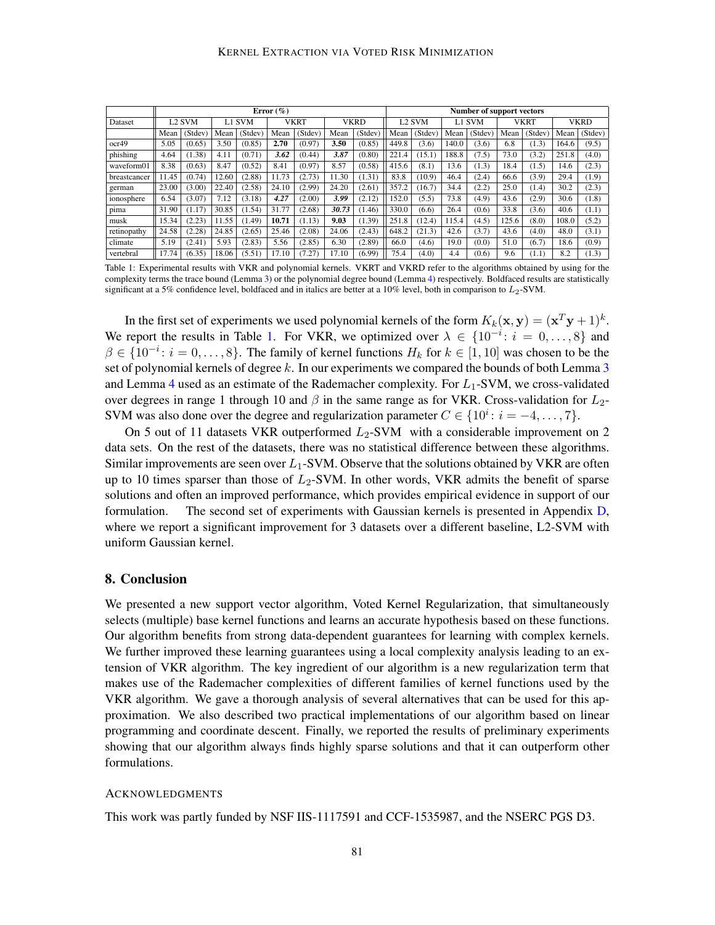<span id="page-9-0"></span>

|              | Error $(\%)$  |         |        |         |             |         | Number of support vectors |         |        |         |        |         |       |         |             |         |
|--------------|---------------|---------|--------|---------|-------------|---------|---------------------------|---------|--------|---------|--------|---------|-------|---------|-------------|---------|
| Dataset      | <b>L2 SVM</b> |         | L1 SVM |         | <b>VKRT</b> |         | <b>VKRD</b>               |         | L2 SVM |         | L1 SVM |         | VKRT  |         | <b>VKRD</b> |         |
|              | Mean          | (Stdev) | Mean   | (Stdev) | Mean        | (Stdev) | Mean                      | (Stdev) | Mean   | (Stdev) | Mean   | (Stdev) | Mean  | (Stdev) | Mean        | (Stdev) |
| ocr49        | 5.05          | (0.65)  | 3.50   | (0.85)  | 2.70        | (0.97)  | 3.50                      | (0.85)  | 449.8  | (3.6)   | 140.0  | (3.6)   | 6.8   | (1.3)   | 164.6       | (9.5)   |
| phishing     | 4.64          | 1.38    | 4.11   | (0.71)  | 3.62        | (0.44)  | 3.87                      | (0.80)  | 221.4  | (15.1)  | 188.8  | (7.5)   | 73.0  | (3.2)   | 251.8       | (4.0)   |
| waveform01   | 8.38          | (0.63)  | 8.47   | (0.52)  | 8.41        | (0.97)  | 8.57                      | (0.58)  | 415.6  | (8.1)   | 13.6   | (1.3)   | 18.4  | (1.5)   | 14.6        | (2.3)   |
| breastcancer | 1.45          | (0.74)  | 12.60  | (2.88)  | 11.73       | (2.73)  | 11.30                     | (1.31)  | 83.8   | (10.9)  | 46.4   | (2.4)   | 66.6  | (3.9)   | 29.4        | (1.9)   |
| german       | 23.00         | (3.00)  | 22.40  | (2.58)  | 24.10       | (2.99)  | 24.20                     | (2.61)  | 357.2  | (16.7)  | 34.4   | (2.2)   | 25.0  | (1.4)   | 30.2        | (2.3)   |
| ionosphere   | 6.54          | (3.07)  | 7.12   | (3.18)  | 4.27        | (2.00)  | 3.99                      | (2.12)  | 152.0  | (5.5)   | 73.8   | (4.9)   | 43.6  | (2.9)   | 30.6        | (1.8)   |
| pima         | 31.90         | (1.17)  | 30.85  | (1.54)  | 31.77       | (2.68)  | 30.73                     | (1.46)  | 330.0  | (6.6)   | 26.4   | (0.6)   | 33.8  | (3.6)   | 40.6        | (1.1)   |
| musk         | 5.34          | (2.23)  | 11.55  | (1.49)  | 10.71       | (1.13)  | 9.03                      | (1.39)  | 251.8  | (12.4)  | 115.4  | (4.5)   | 125.6 | (8.0)   | 108.0       | (5.2)   |
| retinopathy  | 24.58         | (2.28)  | 24.85  | (2.65)  | 25.46       | (2.08)  | 24.06                     | (2.43)  | 648.2  | (21.3)  | 42.6   | (3.7)   | 43.6  | (4.0)   | 48.0        | (3.1)   |
| climate      | 5.19          | (2.41)  | 5.93   | (2.83)  | 5.56        | (2.85)  | 6.30                      | (2.89)  | 66.0   | (4.6)   | 19.0   | (0.0)   | 51.0  | (6.7)   | 18.6        | (0.9)   |
| vertebral    | 17.74         | (6.35)  | 18.06  | (5.51)  | 17.10       | (7.27)  | 17.10                     | (6.99)  | 75.4   | (4.0)   | 4.4    | (0.6)   | 9.6   | (1.1)   | 8.2         | (1.3)   |

Table 1: Experimental results with VKR and polynomial kernels. VKRT and VKRD refer to the algorithms obtained by using for the complexity terms the trace bound (Lemma [3\)](#page-6-2) or the polynomial degree bound (Lemma [4\)](#page-7-1) respectively. Boldfaced results are statistically significant at a 5% confidence level, boldfaced and in italics are better at a 10% level, both in comparison to  $L_2$ -SVM.

In the first set of experiments we used polynomial kernels of the form  $K_k({\bf x},{\bf y})=({\bf x}^T{\bf y}+1)^k$ . We report the results in Table [1.](#page-9-0) For VKR, we optimized over  $\lambda \in \{10^{-i} : i = 0, \ldots, 8\}$  and  $\beta \in \{10^{-i} : i = 0, \ldots, 8\}$ . The family of kernel functions  $H_k$  for  $k \in [1, 10]$  was chosen to be the set of polynomial kernels of degree  $k$ . In our experiments we compared the bounds of both Lemma  $3$ and Lemma [4](#page-7-1) used as an estimate of the Rademacher complexity. For  $L_1$ -SVM, we cross-validated over degrees in range 1 through 10 and  $\beta$  in the same range as for VKR. Cross-validation for  $L_2$ -SVM was also done over the degree and regularization parameter  $C \in \{10^i : i = -4, \ldots, 7\}$ .

On 5 out of 11 datasets VKR outperformed  $L_2$ -SVM with a considerable improvement on 2 data sets. On the rest of the datasets, there was no statistical difference between these algorithms. Similar improvements are seen over  $L_1$ -SVM. Observe that the solutions obtained by VKR are often up to 10 times sparser than those of  $L_2$ -SVM. In other words, VKR admits the benefit of sparse solutions and often an improved performance, which provides empirical evidence in support of our formulation. The second set of experiments with Gaussian kernels is presented in Appendix [D,](#page-16-0) where we report a significant improvement for 3 datasets over a different baseline, L2-SVM with uniform Gaussian kernel.

## 8. Conclusion

We presented a new support vector algorithm, Voted Kernel Regularization, that simultaneously selects (multiple) base kernel functions and learns an accurate hypothesis based on these functions. Our algorithm benefits from strong data-dependent guarantees for learning with complex kernels. We further improved these learning guarantees using a local complexity analysis leading to an extension of VKR algorithm. The key ingredient of our algorithm is a new regularization term that makes use of the Rademacher complexities of different families of kernel functions used by the VKR algorithm. We gave a thorough analysis of several alternatives that can be used for this approximation. We also described two practical implementations of our algorithm based on linear programming and coordinate descent. Finally, we reported the results of preliminary experiments showing that our algorithm always finds highly sparse solutions and that it can outperform other formulations.

#### ACKNOWLEDGMENTS

This work was partly funded by NSF IIS-1117591 and CCF-1535987, and the NSERC PGS D3.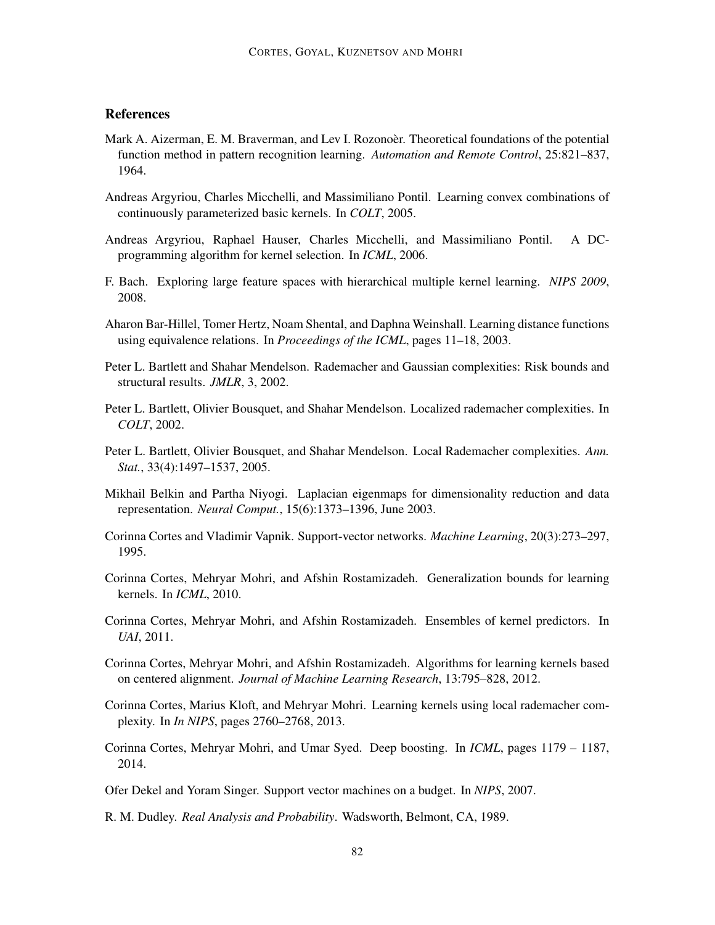## **References**

- <span id="page-10-9"></span>Mark A. Aizerman, E. M. Braverman, and Lev I. Rozonoer. Theoretical foundations of the potential function method in pattern recognition learning. *Automation and Remote Control*, 25:821–837, 1964.
- <span id="page-10-2"></span>Andreas Argyriou, Charles Micchelli, and Massimiliano Pontil. Learning convex combinations of continuously parameterized basic kernels. In *COLT*, 2005.
- <span id="page-10-3"></span>Andreas Argyriou, Raphael Hauser, Charles Micchelli, and Massimiliano Pontil. A DCprogramming algorithm for kernel selection. In *ICML*, 2006.
- <span id="page-10-4"></span>F. Bach. Exploring large feature spaces with hierarchical multiple kernel learning. *NIPS 2009*, 2008.
- <span id="page-10-1"></span>Aharon Bar-Hillel, Tomer Hertz, Noam Shental, and Daphna Weinshall. Learning distance functions using equivalence relations. In *Proceedings of the ICML*, pages 11–18, 2003.
- <span id="page-10-12"></span>Peter L. Bartlett and Shahar Mendelson. Rademacher and Gaussian complexities: Risk bounds and structural results. *JMLR*, 3, 2002.
- <span id="page-10-15"></span>Peter L. Bartlett, Olivier Bousquet, and Shahar Mendelson. Localized rademacher complexities. In *COLT*, 2002.
- <span id="page-10-13"></span>Peter L. Bartlett, Olivier Bousquet, and Shahar Mendelson. Local Rademacher complexities. *Ann. Stat.*, 33(4):1497–1537, 2005.
- <span id="page-10-0"></span>Mikhail Belkin and Partha Niyogi. Laplacian eigenmaps for dimensionality reduction and data representation. *Neural Comput.*, 15(6):1373–1396, June 2003.
- <span id="page-10-8"></span>Corinna Cortes and Vladimir Vapnik. Support-vector networks. *Machine Learning*, 20(3):273–297, 1995.
- <span id="page-10-5"></span>Corinna Cortes, Mehryar Mohri, and Afshin Rostamizadeh. Generalization bounds for learning kernels. In *ICML*, 2010.
- <span id="page-10-7"></span>Corinna Cortes, Mehryar Mohri, and Afshin Rostamizadeh. Ensembles of kernel predictors. In *UAI*, 2011.
- <span id="page-10-16"></span>Corinna Cortes, Mehryar Mohri, and Afshin Rostamizadeh. Algorithms for learning kernels based on centered alignment. *Journal of Machine Learning Research*, 13:795–828, 2012.
- <span id="page-10-6"></span>Corinna Cortes, Marius Kloft, and Mehryar Mohri. Learning kernels using local rademacher complexity. In *In NIPS*, pages 2760–2768, 2013.
- <span id="page-10-10"></span>Corinna Cortes, Mehryar Mohri, and Umar Syed. Deep boosting. In *ICML*, pages 1179 – 1187, 2014.
- <span id="page-10-11"></span>Ofer Dekel and Yoram Singer. Support vector machines on a budget. In *NIPS*, 2007.
- <span id="page-10-14"></span>R. M. Dudley. *Real Analysis and Probability*. Wadsworth, Belmont, CA, 1989.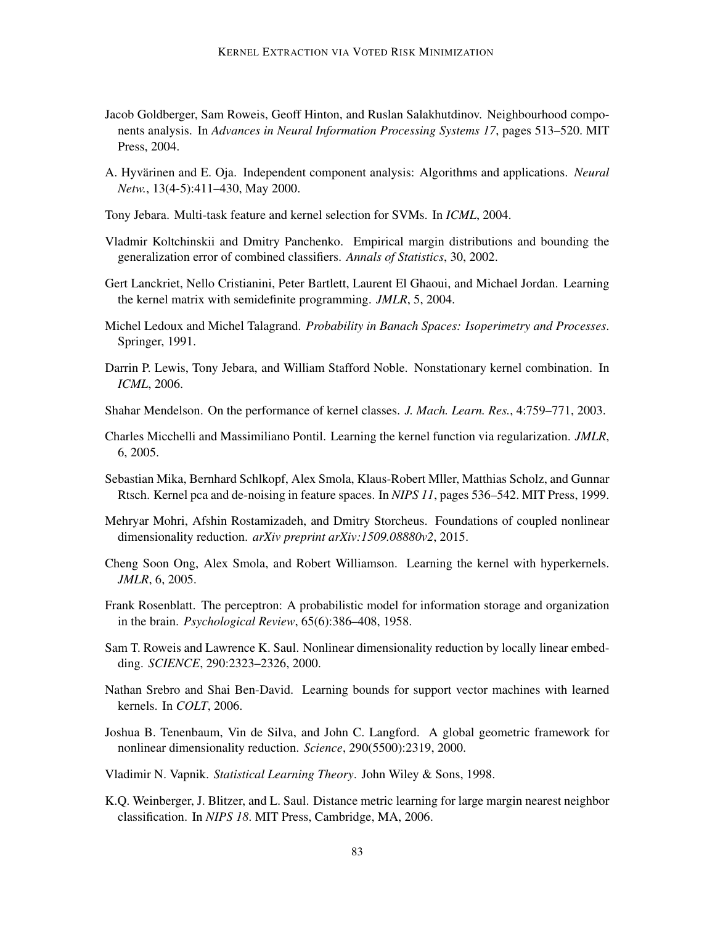- <span id="page-11-6"></span>Jacob Goldberger, Sam Roweis, Geoff Hinton, and Ruslan Salakhutdinov. Neighbourhood components analysis. In *Advances in Neural Information Processing Systems 17*, pages 513–520. MIT Press, 2004.
- <span id="page-11-2"></span>A. Hyvärinen and E. Oja. Independent component analysis: Algorithms and applications. *Neural Netw.*, 13(4-5):411–430, May 2000.
- <span id="page-11-11"></span>Tony Jebara. Multi-task feature and kernel selection for SVMs. In *ICML*, 2004.
- <span id="page-11-13"></span>Vladmir Koltchinskii and Dmitry Panchenko. Empirical margin distributions and bounding the generalization error of combined classifiers. *Annals of Statistics*, 30, 2002.
- <span id="page-11-7"></span>Gert Lanckriet, Nello Cristianini, Peter Bartlett, Laurent El Ghaoui, and Michael Jordan. Learning the kernel matrix with semidefinite programming. *JMLR*, 5, 2004.
- <span id="page-11-17"></span>Michel Ledoux and Michel Talagrand. *Probability in Banach Spaces: Isoperimetry and Processes*. Springer, 1991.
- <span id="page-11-9"></span>Darrin P. Lewis, Tony Jebara, and William Stafford Noble. Nonstationary kernel combination. In *ICML*, 2006.
- <span id="page-11-16"></span>Shahar Mendelson. On the performance of kernel classes. *J. Mach. Learn. Res.*, 4:759–771, 2003.
- <span id="page-11-10"></span>Charles Micchelli and Massimiliano Pontil. Learning the kernel function via regularization. *JMLR*, 6, 2005.
- <span id="page-11-3"></span>Sebastian Mika, Bernhard Schlkopf, Alex Smola, Klaus-Robert Mller, Matthias Scholz, and Gunnar Rtsch. Kernel pca and de-noising in feature spaces. In *NIPS 11*, pages 536–542. MIT Press, 1999.
- <span id="page-11-4"></span>Mehryar Mohri, Afshin Rostamizadeh, and Dmitry Storcheus. Foundations of coupled nonlinear dimensionality reduction. *arXiv preprint arXiv:1509.08880v2*, 2015.
- <span id="page-11-12"></span>Cheng Soon Ong, Alex Smola, and Robert Williamson. Learning the kernel with hyperkernels. *JMLR*, 6, 2005.
- <span id="page-11-14"></span>Frank Rosenblatt. The perceptron: A probabilistic model for information storage and organization in the brain. *Psychological Review*, 65(6):386–408, 1958.
- <span id="page-11-0"></span>Sam T. Roweis and Lawrence K. Saul. Nonlinear dimensionality reduction by locally linear embedding. *SCIENCE*, 290:2323–2326, 2000.
- <span id="page-11-8"></span>Nathan Srebro and Shai Ben-David. Learning bounds for support vector machines with learned kernels. In *COLT*, 2006.
- <span id="page-11-1"></span>Joshua B. Tenenbaum, Vin de Silva, and John C. Langford. A global geometric framework for nonlinear dimensionality reduction. *Science*, 290(5500):2319, 2000.
- <span id="page-11-15"></span>Vladimir N. Vapnik. *Statistical Learning Theory*. John Wiley & Sons, 1998.
- <span id="page-11-5"></span>K.Q. Weinberger, J. Blitzer, and L. Saul. Distance metric learning for large margin nearest neighbor classification. In *NIPS 18*. MIT Press, Cambridge, MA, 2006.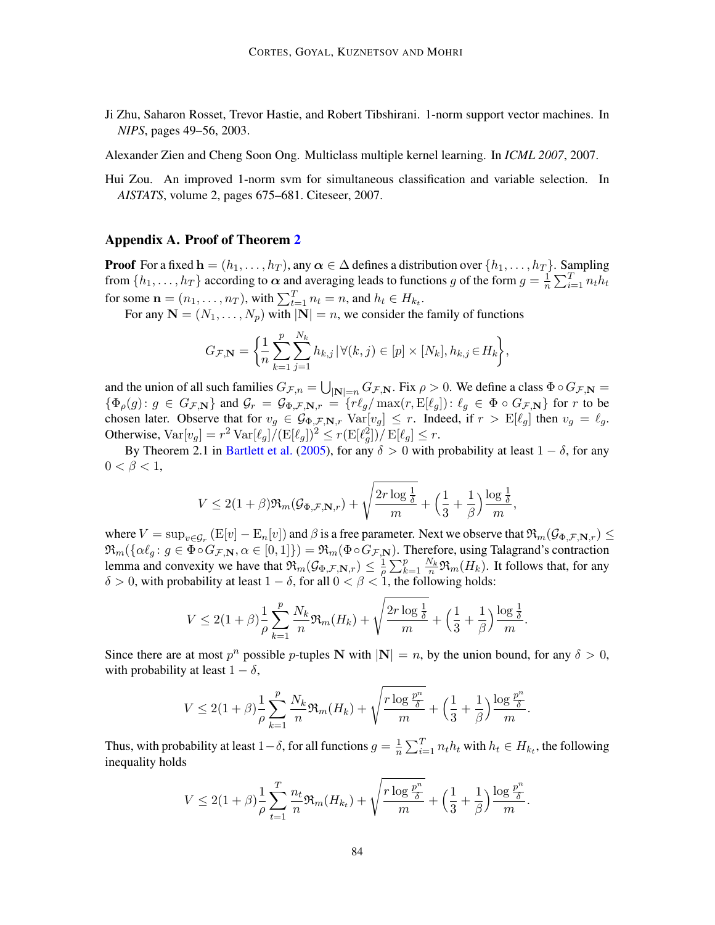<span id="page-12-1"></span>Ji Zhu, Saharon Rosset, Trevor Hastie, and Robert Tibshirani. 1-norm support vector machines. In *NIPS*, pages 49–56, 2003.

<span id="page-12-0"></span>Alexander Zien and Cheng Soon Ong. Multiclass multiple kernel learning. In *ICML 2007*, 2007.

<span id="page-12-2"></span>Hui Zou. An improved 1-norm svm for simultaneous classification and variable selection. In *AISTATS*, volume 2, pages 675–681. Citeseer, 2007.

#### <span id="page-12-3"></span>Appendix A. Proof of Theorem [2](#page-4-2)

**Proof** For a fixed  $\mathbf{h} = (h_1, \ldots, h_T)$ , any  $\alpha \in \Delta$  defines a distribution over  $\{h_1, \ldots, h_T\}$ . Sampling from  $\{h_1, \ldots, h_T\}$  according to  $\alpha$  and averaging leads to functions g of the form  $g = \frac{1}{n}$  $\frac{1}{n} \sum_{i=1}^{T} n_t h_t$ for some  $\mathbf{n} = (n_1, \dots, n_T)$ , with  $\sum_{t=1}^T n_t = n$ , and  $h_t \in H_{k_t}$ .

For any  $N = (N_1, \ldots, N_p)$  with  $|N| = n$ , we consider the family of functions

$$
G_{\mathcal{F},\mathbf{N}} = \bigg\{\frac{1}{n}\sum_{k=1}^p \sum_{j=1}^{N_k} h_{k,j} | \forall (k,j) \in [p] \times [N_k], h_{k,j} \in H_k \bigg\},\
$$

and the union of all such families  $G_{\mathcal{F},n} = \bigcup_{|\mathbf{N}|=n} G_{\mathcal{F},\mathbf{N}}$ . Fix  $\rho > 0$ . We define a class  $\Phi \circ G_{\mathcal{F},\mathbf{N}} =$  ${\Phi_{\rho}(g): g \in G_{\mathcal{F},\mathbf{N}}}$  and  $\mathcal{G}_r = \mathcal{G}_{\Phi,\mathcal{F},\mathbf{N},r} = {r \ell_g / \max(r,\mathrm{E}[\ell_g]): \ell_g \in \Phi \circ G_{\mathcal{F},\mathbf{N}}}$  for r to be chosen later. Observe that for  $v_g \in \mathcal{G}_{\Phi,\mathcal{F},\mathbf{N},r}$   $Var[v_g] \leq r$ . Indeed, if  $r > E[\ell_g]$  then  $v_g = \ell_g$ . Otherwise,  $\text{Var}[v_g] = r^2 \text{Var}[\ell_g] / (\text{E}[\ell_g])^2 \le r (\text{E}[\ell_g^2]) / \text{E}[\ell_g] \le r$ .

By Theorem 2.1 in [Bartlett et al.](#page-10-13) [\(2005\)](#page-10-13), for any  $\delta > 0$  with probability at least  $1 - \delta$ , for any  $0 < \beta < 1$ ,

$$
V \leq 2(1+\beta)\Re_m(\mathcal{G}_{\Phi,\mathcal{F},\mathbf{N},r}) + \sqrt{\frac{2r\log{\frac{1}{\delta}}}{m}} + \Big(\frac{1}{3} + \frac{1}{\beta}\Big)\frac{\log{\frac{1}{\delta}}}{m},
$$

where  $V = \sup_{v \in \mathcal{G}_r} (E[v] - E_n[v])$  and  $\beta$  is a free parameter. Next we observe that  $\Re_m(\mathcal{G}_{\Phi,\mathcal{F},\mathbf{N},r}) \leq$  $\mathfrak{R}_m(\{\alpha \ell_g : g \in \Phi \circ G_{\mathcal{F},\mathbf{N}}, \alpha \in [0,1]\}) = \mathfrak{R}_m(\Phi \circ G_{\mathcal{F},\mathbf{N}})$ . Therefore, using Talagrand's contraction lemma and convexity we have that  $\Re_m(\mathcal{G}_{\Phi,\mathcal{F},\mathbf{N},r}) \leq \frac{1}{\varrho}$  $\frac{1}{\rho} \sum_{k=1}^p \frac{N_k}{n} \Re_m(H_k)$ . It follows that, for any  $\delta > 0$ , with probability at least  $1 - \delta$ , for all  $0 < \beta < 1$ , the following holds:

$$
V \leq 2(1+\beta)\frac{1}{\rho}\sum_{k=1}^p \frac{N_k}{n} \Re_m(H_k) + \sqrt{\frac{2r\log\frac{1}{\delta}}{m}} + \left(\frac{1}{3} + \frac{1}{\beta}\right)\frac{\log\frac{1}{\delta}}{m}.
$$

Since there are at most  $p^n$  possible p-tuples N with  $|\mathbf{N}| = n$ , by the union bound, for any  $\delta > 0$ , with probability at least  $1 - \delta$ ,

$$
V \leq 2(1+\beta)\frac{1}{\rho}\sum_{k=1}^p \frac{N_k}{n} \Re_m(H_k) + \sqrt{\frac{r\log\frac{p^n}{\delta}}{m}} + \left(\frac{1}{3} + \frac{1}{\beta}\right)\frac{\log\frac{p^n}{\delta}}{m}.
$$

Thus, with probability at least  $1-\delta$ , for all functions  $g=\frac{1}{n}$  $\frac{1}{n} \sum_{i=1}^{T} n_t h_t$  with  $h_t \in H_{k_t}$ , the following inequality holds

$$
V \leq 2(1+\beta)\frac{1}{\rho}\sum_{t=1}^T\frac{n_t}{n}\Re_m(H_{k_t}) + \sqrt{\frac{r\log\frac{p^n}{\delta}}{m}} + \left(\frac{1}{3} + \frac{1}{\beta}\right)\frac{\log\frac{p^n}{\delta}}{m}.
$$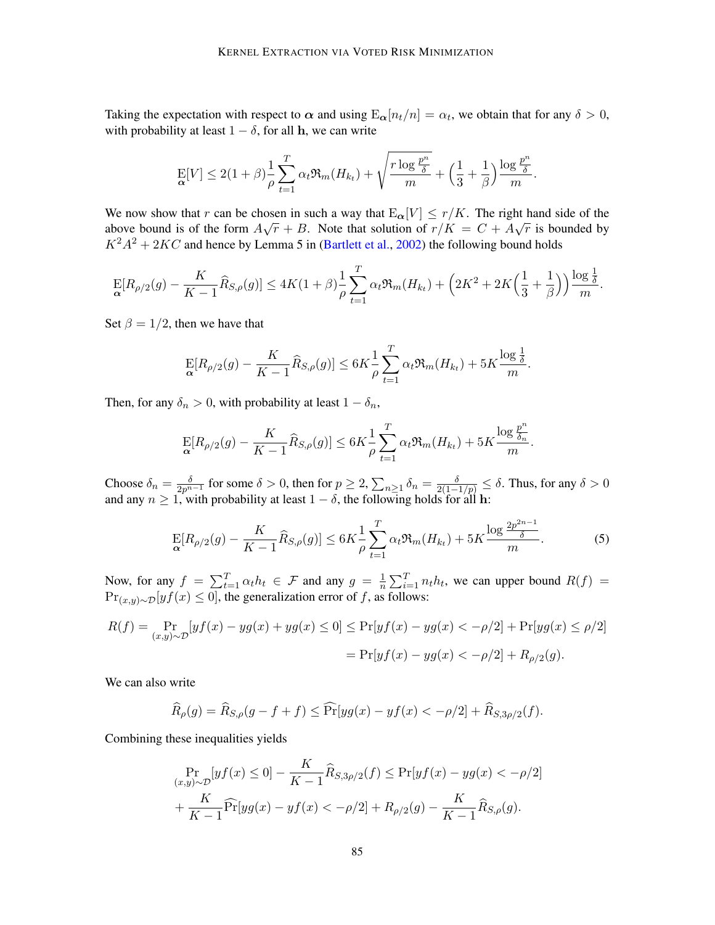Taking the expectation with respect to  $\alpha$  and using  $E_{\alpha}[n_t/n] = \alpha_t$ , we obtain that for any  $\delta > 0$ , with probability at least  $1 - \delta$ , for all h, we can write

$$
\mathop{\mathbf{E}}_{\mathbf{\alpha}}[V] \leq 2(1+\beta)\frac{1}{\rho}\sum_{t=1}^T\alpha_t\mathfrak{R}_m(H_{k_t}) + \sqrt{\frac{r\log\frac{p^n}{\delta}}{m}} + \left(\frac{1}{3} + \frac{1}{\beta}\right)\frac{\log\frac{p^n}{\delta}}{m}.
$$

We now show that r can be chosen in such a way that  $E_{\alpha}[V] \le r/K$ . The right hand side of the above bound is of the form  $A\sqrt{r} + B$ . Note that solution of  $r/K = C + A\sqrt{r}$  is bounded by  $K^2A^2 + 2KC$  and hence by Lemma 5 in [\(Bartlett et al.,](#page-10-15) [2002\)](#page-10-15) the following bound holds

$$
\mathop{\mathrm{E}}_{{\alpha}}[R_{\rho/2}(g)-\frac{K}{K-1}\widehat{R}_{S,\rho}(g)] \leq 4K(1+\beta)\frac{1}{\rho}\sum_{t=1}^T\alpha_t\mathfrak{R}_m(H_{k_t})+\Big(2K^2+2K\Big(\frac{1}{3}+\frac{1}{\beta}\Big)\Big)\frac{\log\frac{1}{\delta}}{m}.
$$

Set  $\beta = 1/2$ , then we have that

$$
\mathop{\rm E}_{\alpha}[R_{\rho/2}(g) - \frac{K}{K-1}\widehat{R}_{S,\rho}(g)] \le 6K \frac{1}{\rho} \sum_{t=1}^{T} \alpha_t \Re_m(H_{kt}) + 5K \frac{\log \frac{1}{\delta}}{m}.
$$

Then, for any  $\delta_n > 0$ , with probability at least  $1 - \delta_n$ ,

$$
\mathop{\mathbf{E}}_{\alpha}[R_{\rho/2}(g) - \frac{K}{K-1}\widehat{R}_{S,\rho}(g)] \le 6K \frac{1}{\rho} \sum_{t=1}^{T} \alpha_t \Re_m(H_{k_t}) + 5K \frac{\log \frac{p^n}{\delta_n}}{m}.
$$

Choose  $\delta_n = \frac{\delta}{2p^{n-1}}$  for some  $\delta > 0$ , then for  $p \ge 2$ ,  $\sum_{n \ge 1} \delta_n = \frac{\delta}{2(1-1/p)} \le \delta$ . Thus, for any  $\delta > 0$ and any  $n \geq 1$ , with probability at least  $1 - \delta$ , the following holds for all h:

<span id="page-13-0"></span>
$$
\mathop{\rm E}_{\alpha}[R_{\rho/2}(g) - \frac{K}{K-1}\widehat{R}_{S,\rho}(g)] \le 6K \frac{1}{\rho} \sum_{t=1}^{T} \alpha_t \Re_m(H_{k_t}) + 5K \frac{\log \frac{2p^{2n-1}}{\delta}}{m}.\tag{5}
$$

Now, for any  $f = \sum_{t=1}^{T} \alpha_t h_t \in \mathcal{F}$  and any  $g = \frac{1}{n}$  $\frac{1}{n} \sum_{i=1}^{T} n_t h_t$ , we can upper bound  $R(f)$  =  $Pr_{(x,y)\sim\mathcal{D}}[yf(x)\leq 0]$ , the generalization error of f, as follows:

$$
R(f) = \Pr_{(x,y)\sim\mathcal{D}}[yf(x) - yg(x) + yg(x) \le 0] \le \Pr[yf(x) - yg(x) < -\rho/2] + \Pr[yg(x) \le \rho/2]
$$
\n
$$
= \Pr[yf(x) - yg(x) < -\rho/2] + R_{\rho/2}(g).
$$

We can also write

$$
\widehat{R}_{\rho}(g) = \widehat{R}_{S,\rho}(g - f + f) \le \widehat{\Pr}[yg(x) - yf(x) < -\rho/2] + \widehat{R}_{S,3\rho/2}(f).
$$

Combining these inequalities yields

$$
\Pr_{(x,y)\sim\mathcal{D}}[yf(x)\leq 0] - \frac{K}{K-1}\widehat{R}_{S,3\rho/2}(f) \leq \Pr[yf(x) - yg(x) < -\rho/2] + \frac{K}{K-1}\widehat{\Pr}[yg(x) - yf(x) < -\rho/2] + R_{\rho/2}(g) - \frac{K}{K-1}\widehat{R}_{S,\rho}(g).
$$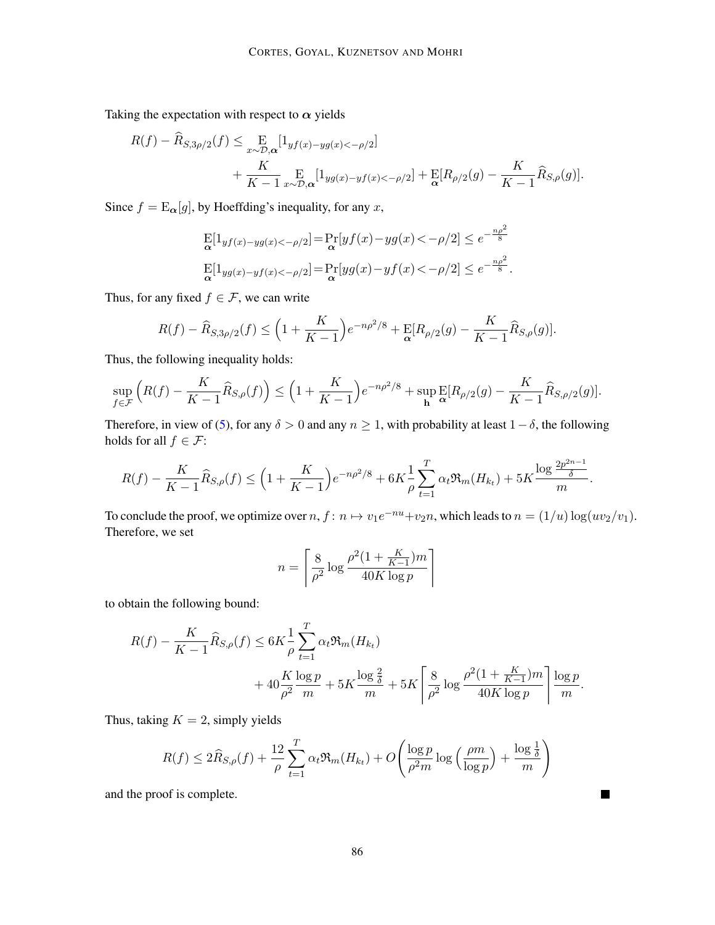Taking the expectation with respect to  $\alpha$  yields

$$
R(f) - \widehat{R}_{S,3\rho/2}(f) \leq \mathop{\mathbb{E}}_{x \sim \mathcal{D},\alpha} [1_{yf(x)-yg(x) < -\rho/2}] + \frac{K}{K-1} \mathop{\mathbb{E}}_{x \sim \mathcal{D},\alpha} [1_{yg(x)-yf(x) < -\rho/2}] + \mathop{\mathbb{E}}_{\alpha} [R_{\rho/2}(g) - \frac{K}{K-1} \widehat{R}_{S,\rho}(g)].
$$

Since  $f = \mathbb{E}_{\alpha}[g]$ , by Hoeffding's inequality, for any x,

$$
\mathop{\rm E}_\alpha[1_{y f(x)-y g(x)<-\rho/2}] = \mathop{\rm Pr}_\alpha[y f(x)-y g(x)<-\rho/2] \le e^{-\frac{n\rho^2}{8}} \mathop{\rm E}_\alpha[1_{y g(x)-y f(x)<-\rho/2}] = \mathop{\rm Pr}_\alpha[y g(x)-y f(x)<-\rho/2] \le e^{-\frac{n\rho^2}{8}}.
$$

Thus, for any fixed  $f \in \mathcal{F}$ , we can write

$$
R(f) - \widehat{R}_{S,3\rho/2}(f) \le \left(1 + \frac{K}{K-1}\right) e^{-n\rho^2/8} + \mathbb{E}[R_{\rho/2}(g) - \frac{K}{K-1}\widehat{R}_{S,\rho}(g)].
$$

Thus, the following inequality holds:

$$
\sup_{f \in \mathcal{F}} \left( R(f) - \frac{K}{K-1} \widehat{R}_{S,\rho}(f) \right) \le \left( 1 + \frac{K}{K-1} \right) e^{-n\rho^2/8} + \sup_{\mathbf{h}} \mathbb{E}[R_{\rho/2}(g) - \frac{K}{K-1} \widehat{R}_{S,\rho/2}(g)].
$$

Therefore, in view of [\(5\)](#page-13-0), for any  $\delta > 0$  and any  $n \ge 1$ , with probability at least  $1 - \delta$ , the following holds for all  $f \in \mathcal{F}$ :

$$
R(f) - \frac{K}{K-1} \widehat{R}_{S,\rho}(f) \le \left(1 + \frac{K}{K-1}\right) e^{-n\rho^2/8} + 6K \frac{1}{\rho} \sum_{t=1}^T \alpha_t \Re_m(H_{k_t}) + 5K \frac{\log \frac{2p^{2n-1}}{\delta}}{m}.
$$

To conclude the proof, we optimize over  $n, f: n \mapsto v_1e^{-nu} + v_2n$ , which leads to  $n = (1/u) \log(uv_2/v_1)$ . Therefore, we set

$$
n = \left\lceil \frac{8}{\rho^2} \log \frac{\rho^2 (1 + \frac{K}{K - 1}) m}{40 K \log p} \right\rceil
$$

to obtain the following bound:

$$
R(f) - \frac{K}{K-1} \widehat{R}_{S,\rho}(f) \le 6K \frac{1}{\rho} \sum_{t=1}^{T} \alpha_t \Re_m(H_{k_t}) + 40 \frac{K}{\rho^2} \frac{\log p}{m} + 5K \frac{\log \frac{2}{\delta}}{m} + 5K \left[ \frac{8}{\rho^2} \log \frac{\rho^2 (1 + \frac{K}{K-1})m}{40K \log p} \right] \frac{\log p}{m}.
$$

Thus, taking  $K = 2$ , simply yields

$$
R(f) \le 2\widehat{R}_{S,\rho}(f) + \frac{12}{\rho} \sum_{t=1}^{T} \alpha_t \Re_m(H_{k_t}) + O\left(\frac{\log p}{\rho^2 m} \log\left(\frac{\rho m}{\log p}\right) + \frac{\log\frac{1}{\delta}}{m}\right)
$$

 $\blacksquare$ 

and the proof is complete.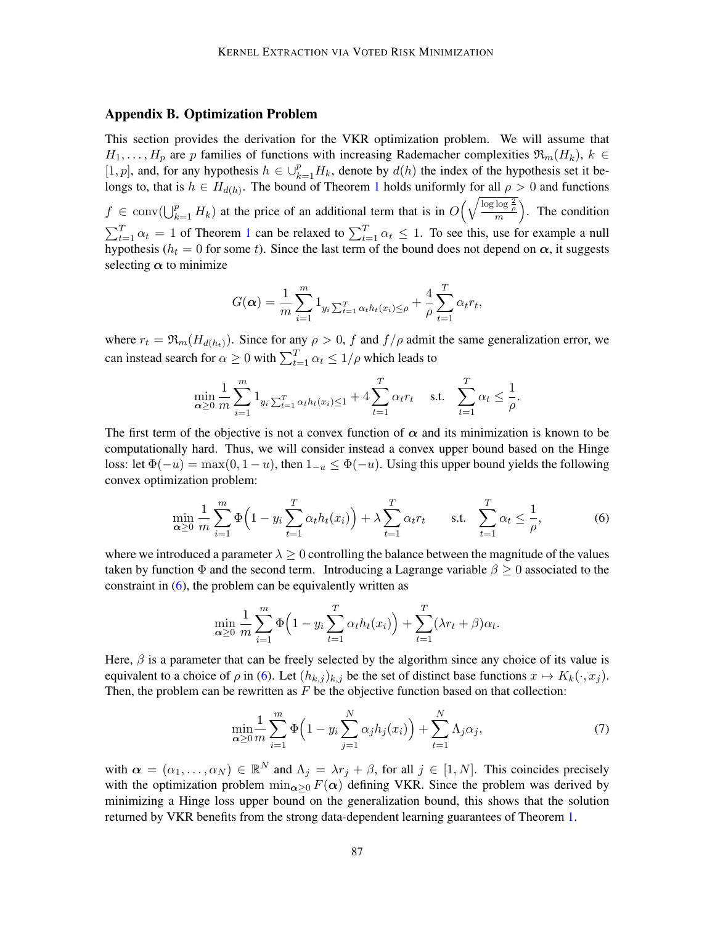### <span id="page-15-1"></span>Appendix B. Optimization Problem

This section provides the derivation for the VKR optimization problem. We will assume that  $H_1, \ldots, H_p$  are p families of functions with increasing Rademacher complexities  $\mathfrak{R}_m(H_k)$ ,  $k \in$ [1, p], and, for any hypothesis  $h \in \bigcup_{k=1}^p H_k$ , denote by  $d(h)$  the index of the hypothesis set it belongs to, that is  $h \in H_{d(h)}$ . The bound of Theorem [1](#page-4-1) holds uniformly for all  $\rho > 0$  and functions  $f \in \text{conv}(\bigcup_{k=1}^p H_k)$  at the price of an additional term that is in  $O\left(\sqrt{\frac{\log \log \frac{2}{\rho}}{m}}\right)$ . The condition  $\sum_{t=1}^{T} \alpha_t = 1$  $\sum_{t=1}^{T} \alpha_t = 1$  $\sum_{t=1}^{T} \alpha_t = 1$  of Theorem 1 can be relaxed to  $\sum_{t=1}^{T} \alpha_t \leq 1$ . To see this, use for example a null hypothesis ( $h_t = 0$  for some t). Since the last term of the bound does not depend on  $\alpha$ , it suggests selecting  $\alpha$  to minimize

$$
G(\boldsymbol{\alpha}) = \frac{1}{m} \sum_{i=1}^{m} 1_{y_i \sum_{t=1}^{T} \alpha_t h_t(x_i) \leq \rho} + \frac{4}{\rho} \sum_{t=1}^{T} \alpha_t r_t,
$$

where  $r_t = \Re_m(H_{d(h_t)})$ . Since for any  $\rho > 0$ , f and  $f/\rho$  admit the same generalization error, we can instead search for  $\alpha \ge 0$  with  $\sum_{t=1}^{T} \alpha_t \le 1/\rho$  which leads to

$$
\min_{\alpha \geq 0} \frac{1}{m} \sum_{i=1}^{m} 1_{y_i \sum_{t=1}^{T} \alpha_t h_t(x_i) \leq 1} + 4 \sum_{t=1}^{T} \alpha_t r_t \quad \text{s.t.} \quad \sum_{t=1}^{T} \alpha_t \leq \frac{1}{\rho}.
$$

The first term of the objective is not a convex function of  $\alpha$  and its minimization is known to be computationally hard. Thus, we will consider instead a convex upper bound based on the Hinge loss: let  $\Phi(-u) = \max(0, 1 - u)$ , then  $1_{-u} \le \Phi(-u)$ . Using this upper bound yields the following convex optimization problem:

$$
\min_{\alpha \ge 0} \frac{1}{m} \sum_{i=1}^{m} \Phi\left(1 - y_i \sum_{t=1}^{T} \alpha_t h_t(x_i)\right) + \lambda \sum_{t=1}^{T} \alpha_t r_t \quad \text{s.t.} \quad \sum_{t=1}^{T} \alpha_t \le \frac{1}{\rho},\tag{6}
$$

where we introduced a parameter  $\lambda > 0$  controlling the balance between the magnitude of the values taken by function  $\Phi$  and the second term. Introducing a Lagrange variable  $\beta \geq 0$  associated to the constraint in  $(6)$ , the problem can be equivalently written as

<span id="page-15-2"></span>
$$
\min_{\alpha \geq 0} \frac{1}{m} \sum_{i=1}^{m} \Phi\left(1 - y_i \sum_{t=1}^{T} \alpha_t h_t(x_i)\right) + \sum_{t=1}^{T} (\lambda r_t + \beta) \alpha_t.
$$

Here,  $\beta$  is a parameter that can be freely selected by the algorithm since any choice of its value is equivalent to a choice of  $\rho$  in [\(6\)](#page-15-2). Let  $(h_{k,j})_{k,j}$  be the set of distinct base functions  $x \mapsto K_k(\cdot, x_j)$ . Then, the problem can be rewritten as  $F$  be the objective function based on that collection:

<span id="page-15-0"></span>
$$
\min_{\alpha \ge 0} \frac{1}{m} \sum_{i=1}^{m} \Phi\left(1 - y_i \sum_{j=1}^{N} \alpha_j h_j(x_i)\right) + \sum_{t=1}^{N} \Lambda_j \alpha_j,
$$
\n(7)

with  $\alpha = (\alpha_1, \dots, \alpha_N) \in \mathbb{R}^N$  and  $\Lambda_j = \lambda r_j + \beta$ , for all  $j \in [1, N]$ . This coincides precisely with the optimization problem  $\min_{\alpha>0} F(\alpha)$  defining VKR. Since the problem was derived by minimizing a Hinge loss upper bound on the generalization bound, this shows that the solution returned by VKR benefits from the strong data-dependent learning guarantees of Theorem [1.](#page-4-1)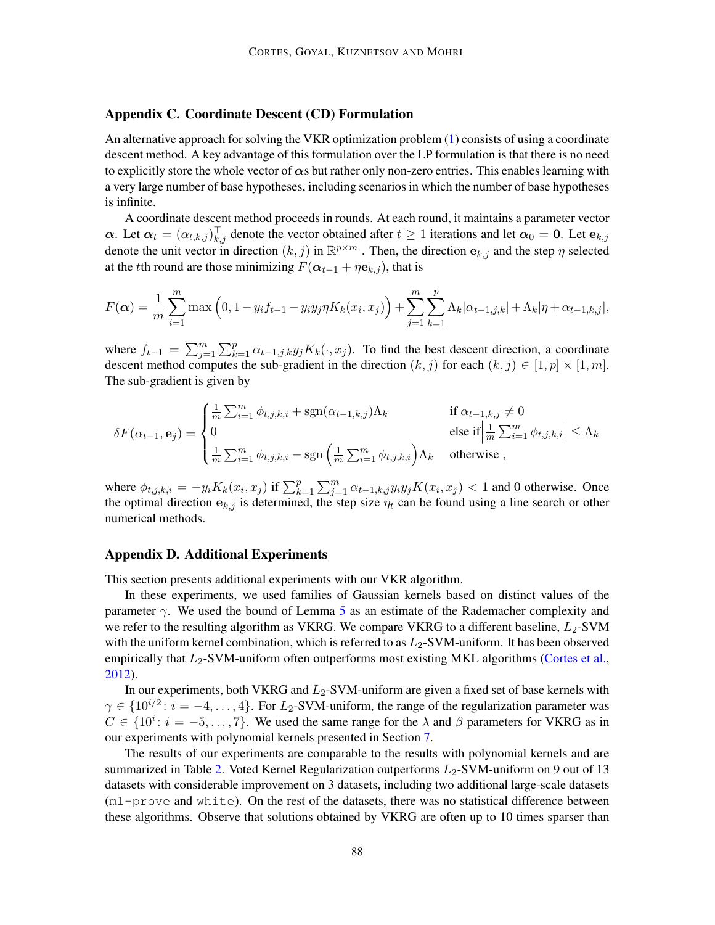## <span id="page-16-1"></span>Appendix C. Coordinate Descent (CD) Formulation

An alternative approach for solving the VKR optimization problem [\(1\)](#page-3-1) consists of using a coordinate descent method. A key advantage of this formulation over the LP formulation is that there is no need to explicitly store the whole vector of  $\alpha s$  but rather only non-zero entries. This enables learning with a very large number of base hypotheses, including scenarios in which the number of base hypotheses is infinite.

A coordinate descent method proceeds in rounds. At each round, it maintains a parameter vector  $\alpha$ . Let  $\alpha_t = (\alpha_{t,k,j})_{k,j}^{\top}$  denote the vector obtained after  $t \ge 1$  iterations and let  $\alpha_0 = 0$ . Let  $\mathbf{e}_{k,j}$ denote the unit vector in direction  $(k, j)$  in  $\mathbb{R}^{p \times m}$ . Then, the direction  $e_{k,j}$  and the step  $\eta$  selected at the tth round are those minimizing  $F(\alpha_{t-1} + \eta \mathbf{e}_{k,j})$ , that is

$$
F(\alpha) = \frac{1}{m} \sum_{i=1}^{m} \max\left(0, 1 - y_i f_{t-1} - y_i y_j \eta K_k(x_i, x_j)\right) + \sum_{j=1}^{m} \sum_{k=1}^{p} \Lambda_k |\alpha_{t-1,j,k}| + \Lambda_k |\eta + \alpha_{t-1,k,j}|,
$$

where  $f_{t-1} = \sum_{j=1}^{m} \sum_{k=1}^{p} \alpha_{t-1,j,k} y_j K_k(\cdot, x_j)$ . To find the best descent direction, a coordinate descent method computes the sub-gradient in the direction  $(k, j)$  for each  $(k, j) \in [1, p] \times [1, m]$ . The sub-gradient is given by

$$
\delta F(\alpha_{t-1}, \mathbf{e}_j) = \begin{cases} \frac{1}{m} \sum_{i=1}^m \phi_{t,j,k,i} + \text{sgn}(\alpha_{t-1,k,j}) \Lambda_k & \text{if } \alpha_{t-1,k,j} \neq 0\\ 0 & \text{else if } \left| \frac{1}{m} \sum_{i=1}^m \phi_{t,j,k,i} \right| \leq \Lambda_k\\ \frac{1}{m} \sum_{i=1}^m \phi_{t,j,k,i} - \text{sgn}\left(\frac{1}{m} \sum_{i=1}^m \phi_{t,j,k,i}\right) \Lambda_k & \text{otherwise} \end{cases}
$$

where  $\phi_{t,j,k,i} = -y_i K_k(x_i, x_j)$  if  $\sum_{k=1}^p \sum_{j=1}^m \alpha_{t-1,k,j} y_i y_j K(x_i, x_j) < 1$  and 0 otherwise. Once the optimal direction  $e_{k,j}$  is determined, the step size  $\eta_t$  can be found using a line search or other numerical methods.

### <span id="page-16-0"></span>Appendix D. Additional Experiments

This section presents additional experiments with our VKR algorithm.

In these experiments, we used families of Gaussian kernels based on distinct values of the parameter  $\gamma$ . We used the bound of Lemma [5](#page-8-1) as an estimate of the Rademacher complexity and we refer to the resulting algorithm as VKRG. We compare VKRG to a different baseline,  $L_2$ -SVM with the uniform kernel combination, which is referred to as  $L_2$ -SVM-uniform. It has been observed empirically that  $L_2$ -SVM-uniform often outperforms most existing MKL algorithms [\(Cortes et al.,](#page-10-16) [2012\)](#page-10-16).

In our experiments, both VKRG and  $L_2$ -SVM-uniform are given a fixed set of base kernels with  $\gamma \in \{10^{i/2} : i = -4, \ldots, 4\}$ . For  $L_2$ -SVM-uniform, the range of the regularization parameter was  $C \in \{10^i : i = -5, \ldots, 7\}$ . We used the same range for the  $\lambda$  and  $\beta$  parameters for VKRG as in our experiments with polynomial kernels presented in Section [7.](#page-8-0)

The results of our experiments are comparable to the results with polynomial kernels and are summarized in Table [2.](#page-17-1) Voted Kernel Regularization outperforms  $L_2$ -SVM-uniform on 9 out of 13 datasets with considerable improvement on 3 datasets, including two additional large-scale datasets (ml-prove and white). On the rest of the datasets, there was no statistical difference between these algorithms. Observe that solutions obtained by VKRG are often up to 10 times sparser than